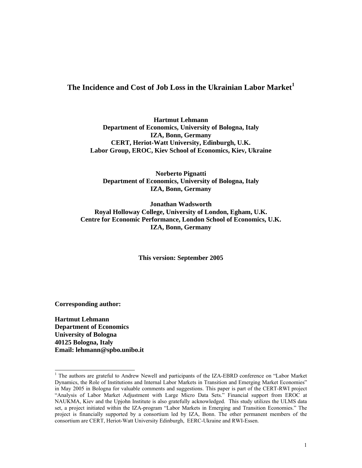# **The Incidence and Cost of Job Loss in the Ukrainian Labor Market<sup>1</sup>**

**Hartmut Lehmann Department of Economics, University of Bologna, Italy IZA, Bonn, Germany CERT, Heriot-Watt University, Edinburgh, U.K. Labor Group, EROC, Kiev School of Economics, Kiev, Ukraine** 

**Norberto Pignatti Department of Economics, University of Bologna, Italy IZA, Bonn, Germany** 

**Jonathan Wadsworth Royal Holloway College, University of London, Egham, U.K. Centre for Economic Performance, London School of Economics, U.K. IZA, Bonn, Germany** 

**This version: September 2005** 

**Corresponding author:** 

**Hartmut Lehmann Department of Economics University of Bologna 40125 Bologna, Italy Email: lehmann@spbo.unibo.it** 

<sup>&</sup>lt;sup>1</sup> The authors are grateful to Andrew Newell and participants of the IZA-EBRD conference on "Labor Market" Dynamics, the Role of Institutions and Internal Labor Markets in Transition and Emerging Market Economies" in May 2005 in Bologna for valuable comments and suggestions. This paper is part of the CERT-RWI project "Analysis of Labor Market Adjustment with Large Micro Data Sets." Financial support from EROC at NAUKMA, Kiev and the Upjohn Institute is also gratefully acknowledged. This study utilizes the ULMS data set, a project initiated within the IZA-program "Labor Markets in Emerging and Transition Economies." The project is financially supported by a consortium led by IZA, Bonn. The other permanent members of the consortium are CERT, Heriot-Watt University Edinburgh, EERC-Ukraine and RWI-Essen.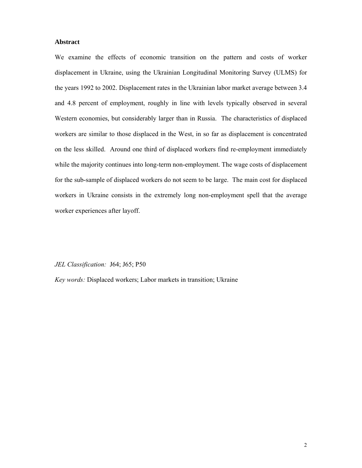### **Abstract**

We examine the effects of economic transition on the pattern and costs of worker displacement in Ukraine, using the Ukrainian Longitudinal Monitoring Survey (ULMS) for the years 1992 to 2002. Displacement rates in the Ukrainian labor market average between 3.4 and 4.8 percent of employment, roughly in line with levels typically observed in several Western economies, but considerably larger than in Russia. The characteristics of displaced workers are similar to those displaced in the West, in so far as displacement is concentrated on the less skilled. Around one third of displaced workers find re-employment immediately while the majority continues into long-term non-employment. The wage costs of displacement for the sub-sample of displaced workers do not seem to be large. The main cost for displaced workers in Ukraine consists in the extremely long non-employment spell that the average worker experiences after layoff.

*JEL Classification:* J64; J65; P50

*Key words:* Displaced workers; Labor markets in transition; Ukraine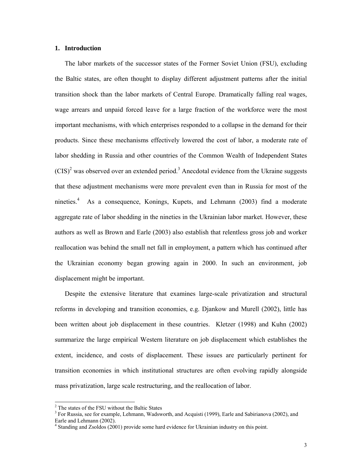### **1. Introduction**

The labor markets of the successor states of the Former Soviet Union (FSU), excluding the Baltic states, are often thought to display different adjustment patterns after the initial transition shock than the labor markets of Central Europe. Dramatically falling real wages, wage arrears and unpaid forced leave for a large fraction of the workforce were the most important mechanisms, with which enterprises responded to a collapse in the demand for their products. Since these mechanisms effectively lowered the cost of labor, a moderate rate of labor shedding in Russia and other countries of the Common Wealth of Independent States  $(CIS)^2$  was observed over an extended period.<sup>3</sup> Anecdotal evidence from the Ukraine suggests that these adjustment mechanisms were more prevalent even than in Russia for most of the nineties.<sup>4</sup> As a consequence, Konings, Kupets, and Lehmann (2003) find a moderate aggregate rate of labor shedding in the nineties in the Ukrainian labor market. However, these authors as well as Brown and Earle (2003) also establish that relentless gross job and worker reallocation was behind the small net fall in employment, a pattern which has continued after the Ukrainian economy began growing again in 2000. In such an environment, job displacement might be important.

Despite the extensive literature that examines large-scale privatization and structural reforms in developing and transition economies, e.g. Djankow and Murell (2002), little has been written about job displacement in these countries. Kletzer (1998) and Kuhn (2002) summarize the large empirical Western literature on job displacement which establishes the extent, incidence, and costs of displacement. These issues are particularly pertinent for transition economies in which institutional structures are often evolving rapidly alongside mass privatization, large scale restructuring, and the reallocation of labor.

 2 The states of the FSU without the Baltic States

<sup>&</sup>lt;sup>3</sup> For Russia, see for example, Lehmann, Wadsworth, and Acquisti (1999), Earle and Sabirianova (2002), and Earle and Lehmann (2002).

<sup>&</sup>lt;sup>4</sup> Standing and Zsoldos (2001) provide some hard evidence for Ukrainian industry on this point.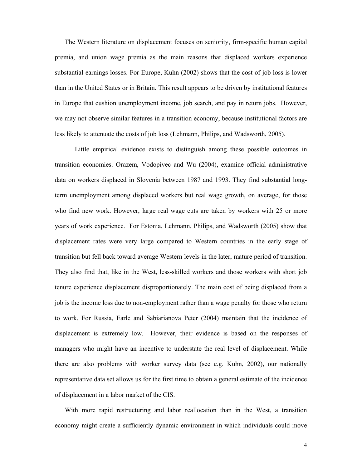The Western literature on displacement focuses on seniority, firm-specific human capital premia, and union wage premia as the main reasons that displaced workers experience substantial earnings losses. For Europe, Kuhn (2002) shows that the cost of job loss is lower than in the United States or in Britain. This result appears to be driven by institutional features in Europe that cushion unemployment income, job search, and pay in return jobs. However, we may not observe similar features in a transition economy, because institutional factors are less likely to attenuate the costs of job loss (Lehmann, Philips, and Wadsworth, 2005).

Little empirical evidence exists to distinguish among these possible outcomes in transition economies. Orazem, Vodopivec and Wu (2004), examine official administrative data on workers displaced in Slovenia between 1987 and 1993. They find substantial longterm unemployment among displaced workers but real wage growth, on average, for those who find new work. However, large real wage cuts are taken by workers with 25 or more years of work experience. For Estonia, Lehmann, Philips, and Wadsworth (2005) show that displacement rates were very large compared to Western countries in the early stage of transition but fell back toward average Western levels in the later, mature period of transition. They also find that, like in the West, less-skilled workers and those workers with short job tenure experience displacement disproportionately. The main cost of being displaced from a job is the income loss due to non-employment rather than a wage penalty for those who return to work. For Russia, Earle and Sabiarianova Peter (2004) maintain that the incidence of displacement is extremely low. However, their evidence is based on the responses of managers who might have an incentive to understate the real level of displacement. While there are also problems with worker survey data (see e.g. Kuhn, 2002), our nationally representative data set allows us for the first time to obtain a general estimate of the incidence of displacement in a labor market of the CIS.

With more rapid restructuring and labor reallocation than in the West, a transition economy might create a sufficiently dynamic environment in which individuals could move

4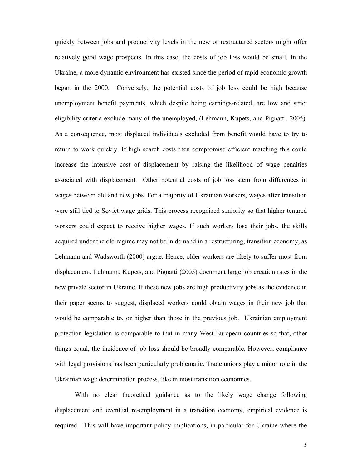quickly between jobs and productivity levels in the new or restructured sectors might offer relatively good wage prospects. In this case, the costs of job loss would be small. In the Ukraine, a more dynamic environment has existed since the period of rapid economic growth began in the 2000. Conversely, the potential costs of job loss could be high because unemployment benefit payments, which despite being earnings-related, are low and strict eligibility criteria exclude many of the unemployed, (Lehmann, Kupets, and Pignatti, 2005). As a consequence, most displaced individuals excluded from benefit would have to try to return to work quickly. If high search costs then compromise efficient matching this could increase the intensive cost of displacement by raising the likelihood of wage penalties associated with displacement. Other potential costs of job loss stem from differences in wages between old and new jobs. For a majority of Ukrainian workers, wages after transition were still tied to Soviet wage grids. This process recognized seniority so that higher tenured workers could expect to receive higher wages. If such workers lose their jobs, the skills acquired under the old regime may not be in demand in a restructuring, transition economy, as Lehmann and Wadsworth (2000) argue. Hence, older workers are likely to suffer most from displacement. Lehmann, Kupets, and Pignatti (2005) document large job creation rates in the new private sector in Ukraine. If these new jobs are high productivity jobs as the evidence in their paper seems to suggest, displaced workers could obtain wages in their new job that would be comparable to, or higher than those in the previous job. Ukrainian employment protection legislation is comparable to that in many West European countries so that, other things equal, the incidence of job loss should be broadly comparable. However, compliance with legal provisions has been particularly problematic. Trade unions play a minor role in the Ukrainian wage determination process, like in most transition economies.

With no clear theoretical guidance as to the likely wage change following displacement and eventual re-employment in a transition economy, empirical evidence is required. This will have important policy implications, in particular for Ukraine where the

5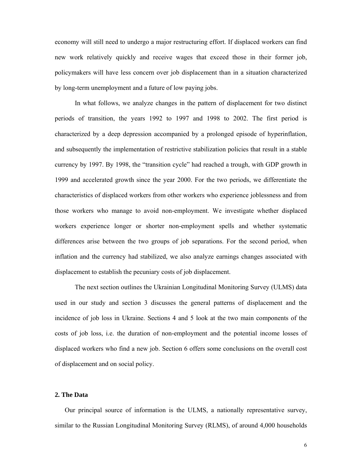economy will still need to undergo a major restructuring effort. If displaced workers can find new work relatively quickly and receive wages that exceed those in their former job, policymakers will have less concern over job displacement than in a situation characterized by long-term unemployment and a future of low paying jobs.

In what follows, we analyze changes in the pattern of displacement for two distinct periods of transition, the years 1992 to 1997 and 1998 to 2002. The first period is characterized by a deep depression accompanied by a prolonged episode of hyperinflation, and subsequently the implementation of restrictive stabilization policies that result in a stable currency by 1997. By 1998, the "transition cycle" had reached a trough, with GDP growth in 1999 and accelerated growth since the year 2000. For the two periods, we differentiate the characteristics of displaced workers from other workers who experience joblessness and from those workers who manage to avoid non-employment. We investigate whether displaced workers experience longer or shorter non-employment spells and whether systematic differences arise between the two groups of job separations. For the second period, when inflation and the currency had stabilized, we also analyze earnings changes associated with displacement to establish the pecuniary costs of job displacement.

The next section outlines the Ukrainian Longitudinal Monitoring Survey (ULMS) data used in our study and section 3 discusses the general patterns of displacement and the incidence of job loss in Ukraine. Sections 4 and 5 look at the two main components of the costs of job loss, i.e. the duration of non-employment and the potential income losses of displaced workers who find a new job. Section 6 offers some conclusions on the overall cost of displacement and on social policy.

#### **2. The Data**

Our principal source of information is the ULMS, a nationally representative survey, similar to the Russian Longitudinal Monitoring Survey (RLMS), of around 4,000 households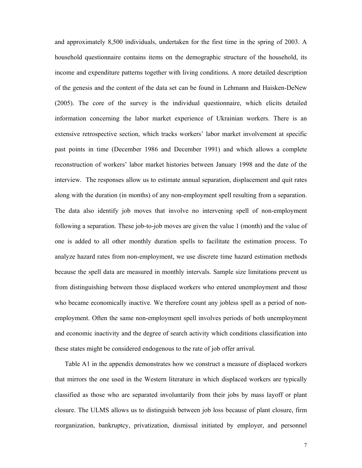and approximately 8,500 individuals, undertaken for the first time in the spring of 2003. A household questionnaire contains items on the demographic structure of the household, its income and expenditure patterns together with living conditions. A more detailed description of the genesis and the content of the data set can be found in Lehmann and Haisken-DeNew (2005). The core of the survey is the individual questionnaire, which elicits detailed information concerning the labor market experience of Ukrainian workers. There is an extensive retrospective section, which tracks workers' labor market involvement at specific past points in time (December 1986 and December 1991) and which allows a complete reconstruction of workers' labor market histories between January 1998 and the date of the interview. The responses allow us to estimate annual separation, displacement and quit rates along with the duration (in months) of any non-employment spell resulting from a separation. The data also identify job moves that involve no intervening spell of non-employment following a separation. These job-to-job moves are given the value 1 (month) and the value of one is added to all other monthly duration spells to facilitate the estimation process. To analyze hazard rates from non-employment, we use discrete time hazard estimation methods because the spell data are measured in monthly intervals. Sample size limitations prevent us from distinguishing between those displaced workers who entered unemployment and those who became economically inactive. We therefore count any jobless spell as a period of nonemployment. Often the same non-employment spell involves periods of both unemployment and economic inactivity and the degree of search activity which conditions classification into these states might be considered endogenous to the rate of job offer arrival.

Table A1 in the appendix demonstrates how we construct a measure of displaced workers that mirrors the one used in the Western literature in which displaced workers are typically classified as those who are separated involuntarily from their jobs by mass layoff or plant closure. The ULMS allows us to distinguish between job loss because of plant closure, firm reorganization, bankruptcy, privatization, dismissal initiated by employer, and personnel

7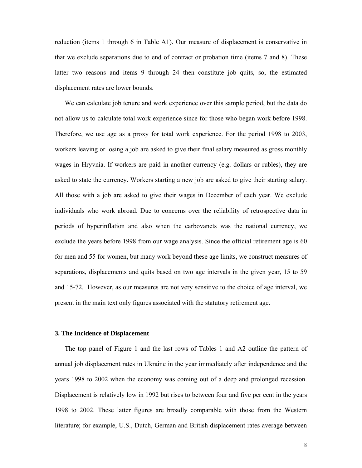reduction (items 1 through 6 in Table A1). Our measure of displacement is conservative in that we exclude separations due to end of contract or probation time (items 7 and 8). These latter two reasons and items 9 through 24 then constitute job quits, so, the estimated displacement rates are lower bounds.

We can calculate job tenure and work experience over this sample period, but the data do not allow us to calculate total work experience since for those who began work before 1998. Therefore, we use age as a proxy for total work experience. For the period 1998 to 2003, workers leaving or losing a job are asked to give their final salary measured as gross monthly wages in Hryvnia. If workers are paid in another currency (e.g. dollars or rubles), they are asked to state the currency. Workers starting a new job are asked to give their starting salary. All those with a job are asked to give their wages in December of each year. We exclude individuals who work abroad. Due to concerns over the reliability of retrospective data in periods of hyperinflation and also when the carbovanets was the national currency, we exclude the years before 1998 from our wage analysis. Since the official retirement age is 60 for men and 55 for women, but many work beyond these age limits, we construct measures of separations, displacements and quits based on two age intervals in the given year, 15 to 59 and 15-72. However, as our measures are not very sensitive to the choice of age interval, we present in the main text only figures associated with the statutory retirement age.

#### **3. The Incidence of Displacement**

The top panel of Figure 1 and the last rows of Tables 1 and A2 outline the pattern of annual job displacement rates in Ukraine in the year immediately after independence and the years 1998 to 2002 when the economy was coming out of a deep and prolonged recession. Displacement is relatively low in 1992 but rises to between four and five per cent in the years 1998 to 2002. These latter figures are broadly comparable with those from the Western literature; for example, U.S., Dutch, German and British displacement rates average between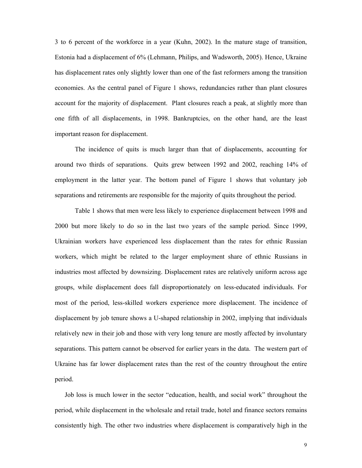3 to 6 percent of the workforce in a year (Kuhn, 2002). In the mature stage of transition, Estonia had a displacement of 6% (Lehmann, Philips, and Wadsworth, 2005). Hence, Ukraine has displacement rates only slightly lower than one of the fast reformers among the transition economies. As the central panel of Figure 1 shows, redundancies rather than plant closures account for the majority of displacement. Plant closures reach a peak, at slightly more than one fifth of all displacements, in 1998. Bankruptcies, on the other hand, are the least important reason for displacement.

 The incidence of quits is much larger than that of displacements, accounting for around two thirds of separations. Quits grew between 1992 and 2002, reaching 14% of employment in the latter year. The bottom panel of Figure 1 shows that voluntary job separations and retirements are responsible for the majority of quits throughout the period.

 Table 1 shows that men were less likely to experience displacement between 1998 and 2000 but more likely to do so in the last two years of the sample period. Since 1999, Ukrainian workers have experienced less displacement than the rates for ethnic Russian workers, which might be related to the larger employment share of ethnic Russians in industries most affected by downsizing. Displacement rates are relatively uniform across age groups, while displacement does fall disproportionately on less-educated individuals. For most of the period, less-skilled workers experience more displacement. The incidence of displacement by job tenure shows a U-shaped relationship in 2002, implying that individuals relatively new in their job and those with very long tenure are mostly affected by involuntary separations. This pattern cannot be observed for earlier years in the data. The western part of Ukraine has far lower displacement rates than the rest of the country throughout the entire period.

Job loss is much lower in the sector "education, health, and social work" throughout the period, while displacement in the wholesale and retail trade, hotel and finance sectors remains consistently high. The other two industries where displacement is comparatively high in the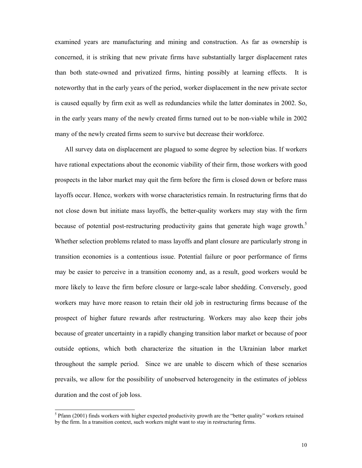examined years are manufacturing and mining and construction. As far as ownership is concerned, it is striking that new private firms have substantially larger displacement rates than both state-owned and privatized firms, hinting possibly at learning effects. It is noteworthy that in the early years of the period, worker displacement in the new private sector is caused equally by firm exit as well as redundancies while the latter dominates in 2002. So, in the early years many of the newly created firms turned out to be non-viable while in 2002 many of the newly created firms seem to survive but decrease their workforce.

All survey data on displacement are plagued to some degree by selection bias. If workers have rational expectations about the economic viability of their firm, those workers with good prospects in the labor market may quit the firm before the firm is closed down or before mass layoffs occur. Hence, workers with worse characteristics remain. In restructuring firms that do not close down but initiate mass layoffs, the better-quality workers may stay with the firm because of potential post-restructuring productivity gains that generate high wage growth.<sup>5</sup> Whether selection problems related to mass layoffs and plant closure are particularly strong in transition economies is a contentious issue. Potential failure or poor performance of firms may be easier to perceive in a transition economy and, as a result, good workers would be more likely to leave the firm before closure or large-scale labor shedding. Conversely, good workers may have more reason to retain their old job in restructuring firms because of the prospect of higher future rewards after restructuring. Workers may also keep their jobs because of greater uncertainty in a rapidly changing transition labor market or because of poor outside options, which both characterize the situation in the Ukrainian labor market throughout the sample period. Since we are unable to discern which of these scenarios prevails, we allow for the possibility of unobserved heterogeneity in the estimates of jobless duration and the cost of job loss.

l

 $5$  Pfann (2001) finds workers with higher expected productivity growth are the "better quality" workers retained by the firm. In a transition context, such workers might want to stay in restructuring firms.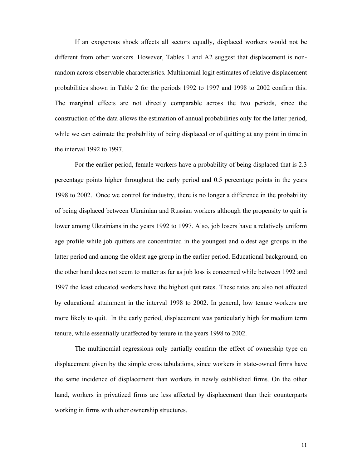If an exogenous shock affects all sectors equally, displaced workers would not be different from other workers. However, Tables 1 and A2 suggest that displacement is nonrandom across observable characteristics. Multinomial logit estimates of relative displacement probabilities shown in Table 2 for the periods 1992 to 1997 and 1998 to 2002 confirm this. The marginal effects are not directly comparable across the two periods, since the construction of the data allows the estimation of annual probabilities only for the latter period, while we can estimate the probability of being displaced or of quitting at any point in time in the interval 1992 to 1997.

For the earlier period, female workers have a probability of being displaced that is 2.3 percentage points higher throughout the early period and 0.5 percentage points in the years 1998 to 2002. Once we control for industry, there is no longer a difference in the probability of being displaced between Ukrainian and Russian workers although the propensity to quit is lower among Ukrainians in the years 1992 to 1997. Also, job losers have a relatively uniform age profile while job quitters are concentrated in the youngest and oldest age groups in the latter period and among the oldest age group in the earlier period. Educational background, on the other hand does not seem to matter as far as job loss is concerned while between 1992 and 1997 the least educated workers have the highest quit rates. These rates are also not affected by educational attainment in the interval 1998 to 2002. In general, low tenure workers are more likely to quit. In the early period, displacement was particularly high for medium term tenure, while essentially unaffected by tenure in the years 1998 to 2002.

The multinomial regressions only partially confirm the effect of ownership type on displacement given by the simple cross tabulations, since workers in state-owned firms have the same incidence of displacement than workers in newly established firms. On the other hand, workers in privatized firms are less affected by displacement than their counterparts working in firms with other ownership structures.

l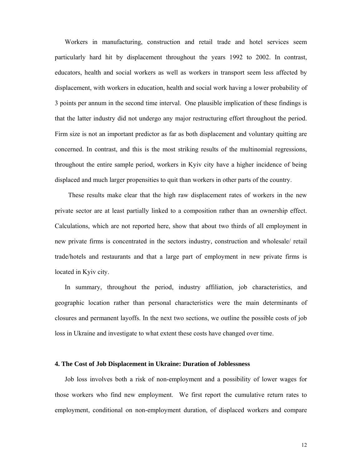Workers in manufacturing, construction and retail trade and hotel services seem particularly hard hit by displacement throughout the years 1992 to 2002. In contrast, educators, health and social workers as well as workers in transport seem less affected by displacement, with workers in education, health and social work having a lower probability of 3 points per annum in the second time interval. One plausible implication of these findings is that the latter industry did not undergo any major restructuring effort throughout the period. Firm size is not an important predictor as far as both displacement and voluntary quitting are concerned. In contrast, and this is the most striking results of the multinomial regressions, throughout the entire sample period, workers in Kyiv city have a higher incidence of being displaced and much larger propensities to quit than workers in other parts of the country.

 These results make clear that the high raw displacement rates of workers in the new private sector are at least partially linked to a composition rather than an ownership effect. Calculations, which are not reported here, show that about two thirds of all employment in new private firms is concentrated in the sectors industry, construction and wholesale/ retail trade/hotels and restaurants and that a large part of employment in new private firms is located in Kyiv city.

In summary, throughout the period, industry affiliation, job characteristics, and geographic location rather than personal characteristics were the main determinants of closures and permanent layoffs. In the next two sections, we outline the possible costs of job loss in Ukraine and investigate to what extent these costs have changed over time.

#### **4. The Cost of Job Displacement in Ukraine: Duration of Joblessness**

Job loss involves both a risk of non-employment and a possibility of lower wages for those workers who find new employment. We first report the cumulative return rates to employment, conditional on non-employment duration, of displaced workers and compare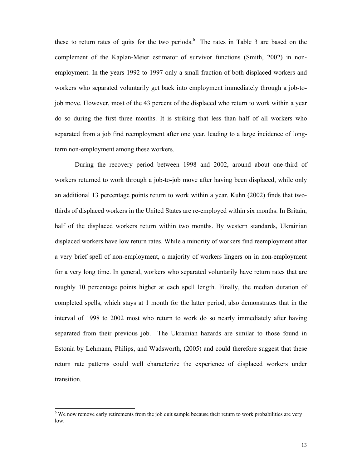these to return rates of quits for the two periods.<sup>6</sup> The rates in Table 3 are based on the complement of the Kaplan-Meier estimator of survivor functions (Smith, 2002) in nonemployment. In the years 1992 to 1997 only a small fraction of both displaced workers and workers who separated voluntarily get back into employment immediately through a job-tojob move. However, most of the 43 percent of the displaced who return to work within a year do so during the first three months. It is striking that less than half of all workers who separated from a job find reemployment after one year, leading to a large incidence of longterm non-employment among these workers.

During the recovery period between 1998 and 2002, around about one-third of workers returned to work through a job-to-job move after having been displaced, while only an additional 13 percentage points return to work within a year. Kuhn (2002) finds that twothirds of displaced workers in the United States are re-employed within six months. In Britain, half of the displaced workers return within two months. By western standards, Ukrainian displaced workers have low return rates. While a minority of workers find reemployment after a very brief spell of non-employment, a majority of workers lingers on in non-employment for a very long time. In general, workers who separated voluntarily have return rates that are roughly 10 percentage points higher at each spell length. Finally, the median duration of completed spells, which stays at 1 month for the latter period, also demonstrates that in the interval of 1998 to 2002 most who return to work do so nearly immediately after having separated from their previous job. The Ukrainian hazards are similar to those found in Estonia by Lehmann, Philips, and Wadsworth, (2005) and could therefore suggest that these return rate patterns could well characterize the experience of displaced workers under transition.

 $\overline{a}$ 

 $6$  We now remove early retirements from the job quit sample because their return to work probabilities are very low.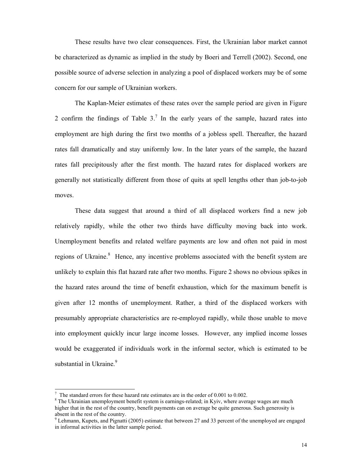These results have two clear consequences. First, the Ukrainian labor market cannot be characterized as dynamic as implied in the study by Boeri and Terrell (2002). Second, one possible source of adverse selection in analyzing a pool of displaced workers may be of some concern for our sample of Ukrainian workers.

The Kaplan-Meier estimates of these rates over the sample period are given in Figure 2 confirm the findings of Table  $3<sup>7</sup>$  In the early years of the sample, hazard rates into employment are high during the first two months of a jobless spell. Thereafter, the hazard rates fall dramatically and stay uniformly low. In the later years of the sample, the hazard rates fall precipitously after the first month. The hazard rates for displaced workers are generally not statistically different from those of quits at spell lengths other than job-to-job moves.

These data suggest that around a third of all displaced workers find a new job relatively rapidly, while the other two thirds have difficulty moving back into work. Unemployment benefits and related welfare payments are low and often not paid in most regions of Ukraine.<sup>8</sup> Hence, any incentive problems associated with the benefit system are unlikely to explain this flat hazard rate after two months. Figure 2 shows no obvious spikes in the hazard rates around the time of benefit exhaustion, which for the maximum benefit is given after 12 months of unemployment. Rather, a third of the displaced workers with presumably appropriate characteristics are re-employed rapidly, while those unable to move into employment quickly incur large income losses. However, any implied income losses would be exaggerated if individuals work in the informal sector, which is estimated to be substantial in Ukraine.<sup>9</sup>

l

The standard errors for these hazard rate estimates are in the order of 0.001 to 0.002.

 $8$  The Ukrainian unemployment benefit system is earnings-related; in Kyiv, where average wages are much higher that in the rest of the country, benefit payments can on average be quite generous. Such generosity is absent in the rest of the country.

<sup>&</sup>lt;sup>9</sup> Lehmann, Kupets, and Pignatti (2005) estimate that between 27 and 33 percent of the unemployed are engaged in informal activities in the latter sample period.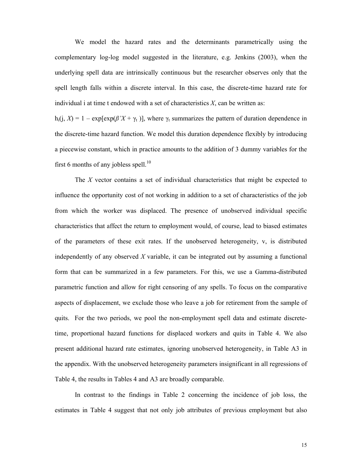We model the hazard rates and the determinants parametrically using the complementary log-log model suggested in the literature, e.g. Jenkins (2003), when the underlying spell data are intrinsically continuous but the researcher observes only that the spell length falls within a discrete interval. In this case, the discrete-time hazard rate for individual i at time t endowed with a set of characteristics *X*, can be written as:

h<sub>i</sub>(j, *X*) = 1 – exp[exp( $\beta'X + \gamma_t$ )], where  $\gamma_t$  summarizes the pattern of duration dependence in the discrete-time hazard function. We model this duration dependence flexibly by introducing a piecewise constant, which in practice amounts to the addition of 3 dummy variables for the first 6 months of any jobless spell. $^{10}$ 

The *X* vector contains a set of individual characteristics that might be expected to influence the opportunity cost of not working in addition to a set of characteristics of the job from which the worker was displaced. The presence of unobserved individual specific characteristics that affect the return to employment would, of course, lead to biased estimates of the parameters of these exit rates. If the unobserved heterogeneity, v, is distributed independently of any observed *X* variable, it can be integrated out by assuming a functional form that can be summarized in a few parameters. For this, we use a Gamma-distributed parametric function and allow for right censoring of any spells. To focus on the comparative aspects of displacement, we exclude those who leave a job for retirement from the sample of quits. For the two periods, we pool the non-employment spell data and estimate discretetime, proportional hazard functions for displaced workers and quits in Table 4. We also present additional hazard rate estimates, ignoring unobserved heterogeneity, in Table A3 in the appendix. With the unobserved heterogeneity parameters insignificant in all regressions of Table 4, the results in Tables 4 and A3 are broadly comparable.

In contrast to the findings in Table 2 concerning the incidence of job loss, the estimates in Table 4 suggest that not only job attributes of previous employment but also

15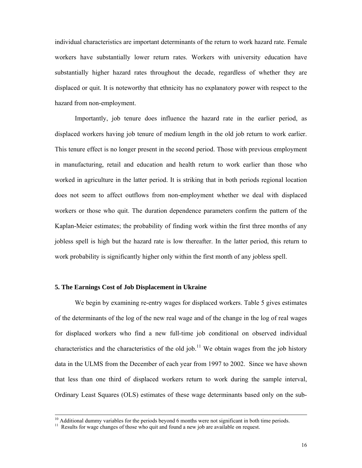individual characteristics are important determinants of the return to work hazard rate. Female workers have substantially lower return rates. Workers with university education have substantially higher hazard rates throughout the decade, regardless of whether they are displaced or quit. It is noteworthy that ethnicity has no explanatory power with respect to the hazard from non-employment.

Importantly, job tenure does influence the hazard rate in the earlier period, as displaced workers having job tenure of medium length in the old job return to work earlier. This tenure effect is no longer present in the second period. Those with previous employment in manufacturing, retail and education and health return to work earlier than those who worked in agriculture in the latter period. It is striking that in both periods regional location does not seem to affect outflows from non-employment whether we deal with displaced workers or those who quit. The duration dependence parameters confirm the pattern of the Kaplan-Meier estimates; the probability of finding work within the first three months of any jobless spell is high but the hazard rate is low thereafter. In the latter period, this return to work probability is significantly higher only within the first month of any jobless spell.

#### **5. The Earnings Cost of Job Displacement in Ukraine**

We begin by examining re-entry wages for displaced workers. Table 5 gives estimates of the determinants of the log of the new real wage and of the change in the log of real wages for displaced workers who find a new full-time job conditional on observed individual characteristics and the characteristics of the old job.<sup>11</sup> We obtain wages from the job history data in the ULMS from the December of each year from 1997 to 2002. Since we have shown that less than one third of displaced workers return to work during the sample interval, Ordinary Least Squares (OLS) estimates of these wage determinants based only on the sub-

 $10$  Additional dummy variables for the periods beyond 6 months were not significant in both time periods.

<sup>&</sup>lt;sup>11</sup> Results for wage changes of those who quit and found a new job are available on request.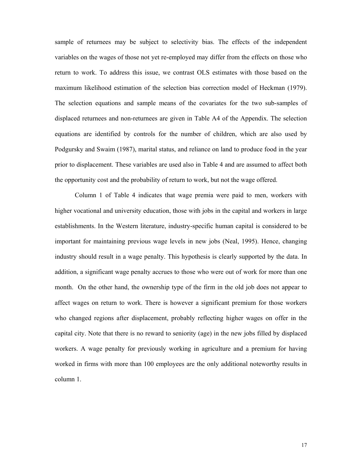sample of returnees may be subject to selectivity bias. The effects of the independent variables on the wages of those not yet re-employed may differ from the effects on those who return to work. To address this issue, we contrast OLS estimates with those based on the maximum likelihood estimation of the selection bias correction model of Heckman (1979). The selection equations and sample means of the covariates for the two sub-samples of displaced returnees and non-returnees are given in Table A4 of the Appendix. The selection equations are identified by controls for the number of children, which are also used by Podgursky and Swaim (1987), marital status, and reliance on land to produce food in the year prior to displacement. These variables are used also in Table 4 and are assumed to affect both the opportunity cost and the probability of return to work, but not the wage offered.

Column 1 of Table 4 indicates that wage premia were paid to men, workers with higher vocational and university education, those with jobs in the capital and workers in large establishments. In the Western literature, industry-specific human capital is considered to be important for maintaining previous wage levels in new jobs (Neal, 1995). Hence, changing industry should result in a wage penalty. This hypothesis is clearly supported by the data. In addition, a significant wage penalty accrues to those who were out of work for more than one month. On the other hand, the ownership type of the firm in the old job does not appear to affect wages on return to work. There is however a significant premium for those workers who changed regions after displacement, probably reflecting higher wages on offer in the capital city. Note that there is no reward to seniority (age) in the new jobs filled by displaced workers. A wage penalty for previously working in agriculture and a premium for having worked in firms with more than 100 employees are the only additional noteworthy results in column 1.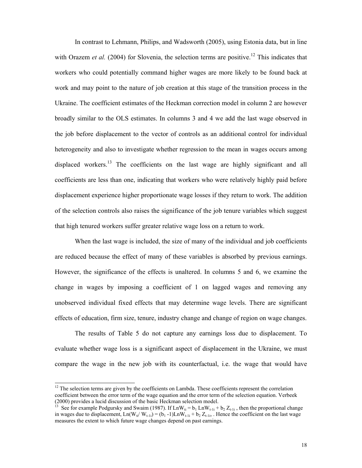In contrast to Lehmann, Philips, and Wadsworth (2005), using Estonia data, but in line with Orazem *et al.* (2004) for Slovenia, the selection terms are positive.<sup>12</sup> This indicates that workers who could potentially command higher wages are more likely to be found back at work and may point to the nature of job creation at this stage of the transition process in the Ukraine. The coefficient estimates of the Heckman correction model in column 2 are however broadly similar to the OLS estimates. In columns 3 and 4 we add the last wage observed in the job before displacement to the vector of controls as an additional control for individual heterogeneity and also to investigate whether regression to the mean in wages occurs among displaced workers.<sup>13</sup> The coefficients on the last wage are highly significant and all coefficients are less than one, indicating that workers who were relatively highly paid before displacement experience higher proportionate wage losses if they return to work. The addition of the selection controls also raises the significance of the job tenure variables which suggest that high tenured workers suffer greater relative wage loss on a return to work.

When the last wage is included, the size of many of the individual and job coefficients are reduced because the effect of many of these variables is absorbed by previous earnings. However, the significance of the effects is unaltered. In columns 5 and 6, we examine the change in wages by imposing a coefficient of 1 on lagged wages and removing any unobserved individual fixed effects that may determine wage levels. There are significant effects of education, firm size, tenure, industry change and change of region on wage changes.

The results of Table 5 do not capture any earnings loss due to displacement. To evaluate whether wage loss is a significant aspect of displacement in the Ukraine, we must compare the wage in the new job with its counterfactual, i.e. the wage that would have

l

 $12$  The selection terms are given by the coefficients on Lambda. These coefficients represent the correlation coefficient between the error term of the wage equation and the error term of the selection equation. Verbeek (2000) provides a lucid discussion of the basic Heckman selection model.

<sup>&</sup>lt;sup>13</sup> See for example Podgursky and Swaim (1987). If  $LnW_{ti} = b_1 LnW_{t-1i} + b_2 Z_{t-1i}$ , then the proportional change in wages due to displacement,  $Ln(W_{ti}/W_{t-1i}) = (b_1 - 1)LnW_{t-1i} + b_2 Z_{t-1i}$ . Hence the coefficient on the last wage measures the extent to which future wage changes depend on past earnings.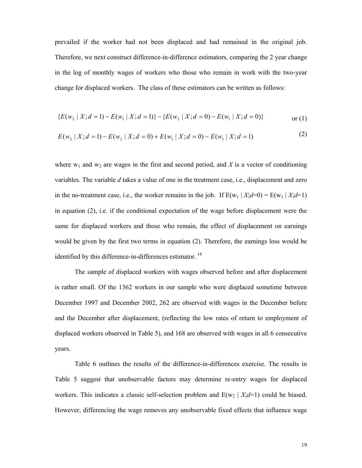prevailed if the worker had not been displaced and had remained in the original job. Therefore, we next construct difference-in-difference estimators, comparing the 2 year change in the log of monthly wages of workers who those who remain in work with the two-year change for displaced workers. The class of these estimators can be written as follows:

$$
\{E(w_2 \mid X; d=1) - E(w_1 \mid X; d=1)\} - \{E(w_2 \mid X; d=0) - E(w_1 \mid X; d=0)\}\
$$
 or (1)

$$
E(w_2 | X; d = 1) - E(w_2 | X; d = 0) + E(w_1 | X; d = 0) - E(w_1 | X; d = 1)
$$
\n(2)

where  $w_1$  and  $w_2$  are wages in the first and second period, and X is a vector of conditioning variables. The variable *d* takes a value of one in the treatment case, i.e., displacement and zero in the no-treatment case, i.e., the worker remains in the job. If  $E(w_1 | X; d=0) = E(w_1 | X; d=1)$ in equation (2), i.e. if the conditional expectation of the wage before displacement were the same for displaced workers and those who remain, the effect of displacement on earnings would be given by the first two terms in equation (2). Therefore, the earnings loss would be identified by this difference-in-differences estimator.<sup>14</sup>

The sample of displaced workers with wages observed before and after displacement is rather small. Of the 1362 workers in our sample who were displaced sometime between December 1997 and December 2002, 262 are observed with wages in the December before and the December after displacement, (reflecting the low rates of return to employment of displaced workers observed in Table 5), and 168 are observed with wages in all 6 consecutive years.

Table 6 outlines the results of the difference-in-differences exercise. The results in Table 5 suggest that unobservable factors may determine re-entry wages for displaced workers. This indicates a classic self-selection problem and  $E(w_2 | X; d=1)$  could be biased. However, differencing the wage removes any unobservable fixed effects that influence wage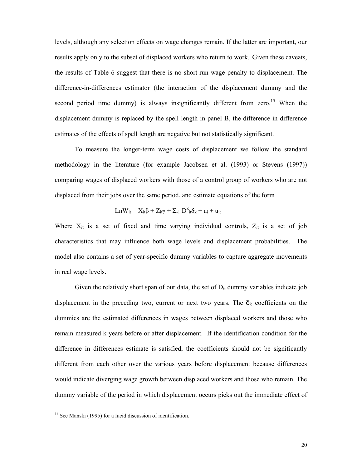levels, although any selection effects on wage changes remain. If the latter are important, our results apply only to the subset of displaced workers who return to work. Given these caveats, the results of Table 6 suggest that there is no short-run wage penalty to displacement. The difference-in-differences estimator (the interaction of the displacement dummy and the second period time dummy) is always insignificantly different from zero.<sup>15</sup> When the displacement dummy is replaced by the spell length in panel B, the difference in difference estimates of the effects of spell length are negative but not statistically significant.

To measure the longer-term wage costs of displacement we follow the standard methodology in the literature (for example Jacobsen et al. (1993) or Stevens (1997)) comparing wages of displaced workers with those of a control group of workers who are not displaced from their jobs over the same period, and estimate equations of the form

$$
Ln W_{it} = X_{it}\beta + Z_{it}\gamma + \Sigma_{\text{-}1}\;D^k_{\phantom{k}it}\delta_k + a_i + u_{it}
$$

Where  $X_{it}$  is a set of fixed and time varying individual controls,  $Z_{it}$  is a set of job characteristics that may influence both wage levels and displacement probabilities. The model also contains a set of year-specific dummy variables to capture aggregate movements in real wage levels.

Given the relatively short span of our data, the set of  $D_{it}$  dummy variables indicate job displacement in the preceding two, current or next two years. The  $\delta_k$  coefficients on the dummies are the estimated differences in wages between displaced workers and those who remain measured k years before or after displacement. If the identification condition for the difference in differences estimate is satisfied, the coefficients should not be significantly different from each other over the various years before displacement because differences would indicate diverging wage growth between displaced workers and those who remain. The dummy variable of the period in which displacement occurs picks out the immediate effect of

<sup>&</sup>lt;sup>14</sup> See Manski (1995) for a lucid discussion of identification.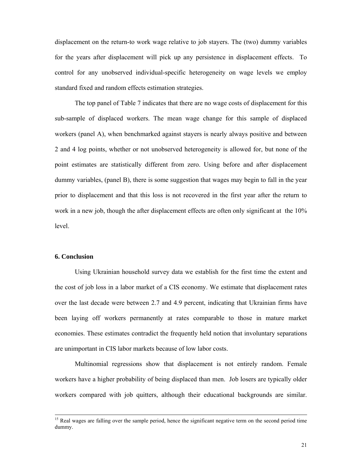displacement on the return-to work wage relative to job stayers. The (two) dummy variables for the years after displacement will pick up any persistence in displacement effects. To control for any unobserved individual-specific heterogeneity on wage levels we employ standard fixed and random effects estimation strategies.

The top panel of Table 7 indicates that there are no wage costs of displacement for this sub-sample of displaced workers. The mean wage change for this sample of displaced workers (panel A), when benchmarked against stayers is nearly always positive and between 2 and 4 log points, whether or not unobserved heterogeneity is allowed for, but none of the point estimates are statistically different from zero. Using before and after displacement dummy variables, (panel B), there is some suggestion that wages may begin to fall in the year prior to displacement and that this loss is not recovered in the first year after the return to work in a new job, though the after displacement effects are often only significant at the 10% level.

### **6. Conclusion**

 Using Ukrainian household survey data we establish for the first time the extent and the cost of job loss in a labor market of a CIS economy. We estimate that displacement rates over the last decade were between 2.7 and 4.9 percent, indicating that Ukrainian firms have been laying off workers permanently at rates comparable to those in mature market economies. These estimates contradict the frequently held notion that involuntary separations are unimportant in CIS labor markets because of low labor costs.

Multinomial regressions show that displacement is not entirely random. Female workers have a higher probability of being displaced than men. Job losers are typically older workers compared with job quitters, although their educational backgrounds are similar.

<sup>&</sup>lt;sup>15</sup> Real wages are falling over the sample period, hence the significant negative term on the second period time dummy.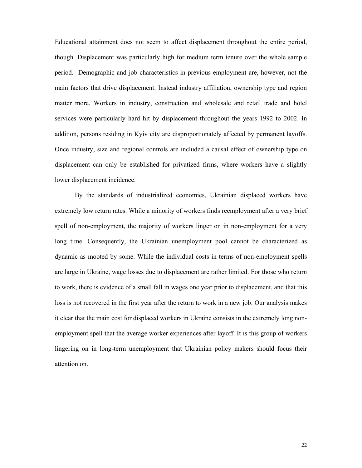Educational attainment does not seem to affect displacement throughout the entire period, though. Displacement was particularly high for medium term tenure over the whole sample period. Demographic and job characteristics in previous employment are, however, not the main factors that drive displacement. Instead industry affiliation, ownership type and region matter more. Workers in industry, construction and wholesale and retail trade and hotel services were particularly hard hit by displacement throughout the years 1992 to 2002. In addition, persons residing in Kyiv city are disproportionately affected by permanent layoffs. Once industry, size and regional controls are included a causal effect of ownership type on displacement can only be established for privatized firms, where workers have a slightly lower displacement incidence.

 By the standards of industrialized economies, Ukrainian displaced workers have extremely low return rates. While a minority of workers finds reemployment after a very brief spell of non-employment, the majority of workers linger on in non-employment for a very long time. Consequently, the Ukrainian unemployment pool cannot be characterized as dynamic as mooted by some. While the individual costs in terms of non-employment spells are large in Ukraine, wage losses due to displacement are rather limited. For those who return to work, there is evidence of a small fall in wages one year prior to displacement, and that this loss is not recovered in the first year after the return to work in a new job. Our analysis makes it clear that the main cost for displaced workers in Ukraine consists in the extremely long nonemployment spell that the average worker experiences after layoff. It is this group of workers lingering on in long-term unemployment that Ukrainian policy makers should focus their attention on.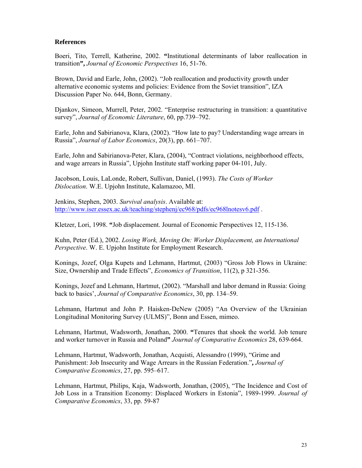### **References**

Boeri, Tito, Terrell, Katherine, 2002. **"**Institutional determinants of labor reallocation in transition**",** *Journal of Economic Perspectives* 16, 51-76.

Brown, David and Earle, John, (2002). "Job reallocation and productivity growth under alternative economic systems and policies: Evidence from the Soviet transition", IZA Discussion Paper No. 644, Bonn, Germany.

Djankov, Simeon, Murrell, Peter, 2002. "Enterprise restructuring in transition: a quantitative survey", *Journal of Economic Literature*, 60, pp.739–792.

Earle, John and Sabirianova, Klara, (2002). "How late to pay? Understanding wage arrears in Russia", *Journal of Labor Economics*, 20(3), pp. 661–707.

Earle, John and Sabirianova-Peter, Klara, (2004), "Contract violations, neighborhood effects, and wage arrears in Russia", Upjohn Institute staff working paper 04-101, July.

Jacobson, Louis, LaLonde, Robert, Sullivan, Daniel, (1993). *The Costs of Worker Dislocation*. W.E. Upjohn Institute, Kalamazoo, MI.

Jenkins, Stephen, 2003. *Survival analysis*. Available at: http://www.iser.essex.ac.uk/teaching/stephenj/ec968/pdfs/ec968lnotesv6.pdf .

Kletzer, Lori, 1998. **"**Job displacement. Journal of Economic Perspectives 12, 115-136.

Kuhn, Peter (Ed.), 2002. *Losing Work, Moving On: Worker Displacement, an International Perspective*. W. E. Upjohn Institute for Employment Research.

Konings, Jozef, Olga Kupets and Lehmann, Hartmut, (2003) "Gross Job Flows in Ukraine: Size, Ownership and Trade Effects", *Economics of Transition*, 11(2), p 321-356.

Konings, Jozef and Lehmann, Hartmut, (2002). "Marshall and labor demand in Russia: Going back to basics', *Journal of Comparative Economics*, 30, pp. 134–59.

Lehmann, Hartmut and John P. Haisken-DeNew (2005) "An Overview of the Ukrainian Longitudinal Monitoring Survey (ULMS)", Bonn and Essen, mimeo.

Lehmann, Hartmut, Wadsworth, Jonathan, 2000. **"**Tenures that shook the world. Job tenure and worker turnover in Russia and Poland**"** *Journal of Comparative Economics* 28, 639-664.

Lehmann, Hartmut, Wadsworth, Jonathan, Acquisti, Alessandro (1999), "Grime and Punishment: Job Insecurity and Wage Arrears in the Russian Federation."**,** *Journal of Comparative Economics*, 27, pp. 595–617.

Lehmann, Hartmut, Philips, Kaja, Wadsworth, Jonathan, (2005), "The Incidence and Cost of Job Loss in a Transition Economy: Displaced Workers in Estonia", 1989-1999. *Journal of Comparative Economics*, 33, pp. 59-87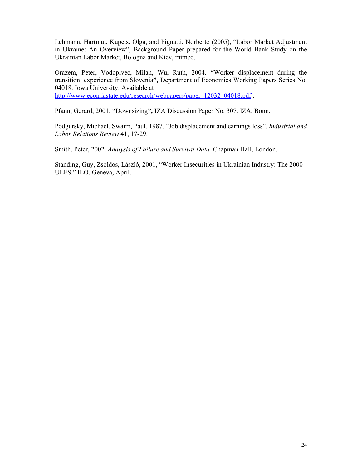Lehmann, Hartmut, Kupets, Olga, and Pignatti, Norberto (2005), "Labor Market Adjustment in Ukraine: An Overview", Background Paper prepared for the World Bank Study on the Ukrainian Labor Market, Bologna and Kiev, mimeo.

Orazem, Peter, Vodopivec, Milan, Wu, Ruth, 2004. **"**Worker displacement during the transition: experience from Slovenia**",** Department of Economics Working Papers Series No. 04018. Iowa University. Available at http://www.econ.iastate.edu/research/webpapers/paper\_12032\_04018.pdf .

Pfann, Gerard, 2001. **"**Downsizing**",** IZA Discussion Paper No. 307. IZA, Bonn.

Podgursky, Michael, Swaim, Paul, 1987. "Job displacement and earnings loss", *Industrial and Labor Relations Review* 41, 17-29.

Smith, Peter, 2002. *Analysis of Failure and Survival Data.* Chapman Hall, London.

Standing, Guy, Zsoldos, László, 2001, "Worker Insecurities in Ukrainian Industry: The 2000 ULFS." ILO, Geneva, April.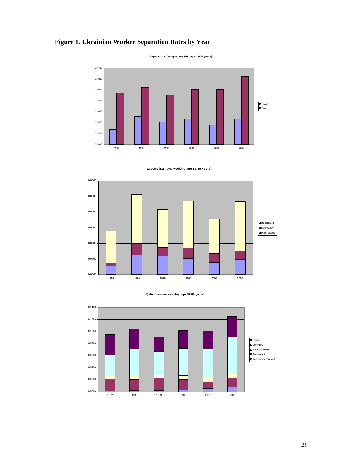# **Figure 1. Ukrainian Worker Separation Rates by Year**

**Separations (sample: working age 15-59 years)** 











25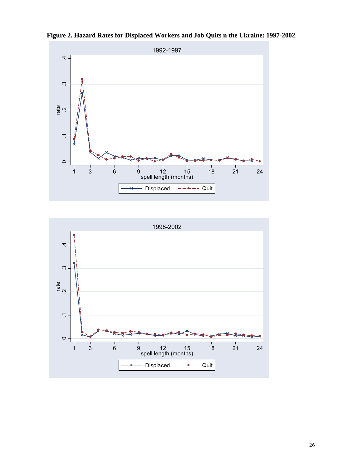



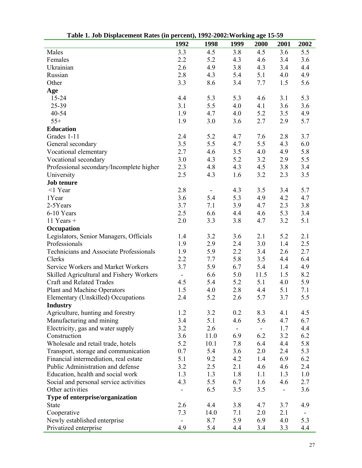| $\frac{1}{2}$                            | 1992           | 1998 | 1999           | $\sim$ 2002, $\sim$ 0.1 map use 10<br>2000 | 2001 | 2002 |
|------------------------------------------|----------------|------|----------------|--------------------------------------------|------|------|
| Males                                    | 3.3            | 4.5  | 3.8            | 4.5                                        | 3.6  | 5.5  |
| Females                                  | 2.2            | 5.2  | 4.3            | 4.6                                        | 3.4  | 3.6  |
| Ukrainian                                | 2.6            | 4.9  | 3.8            | 4.3                                        | 3.4  | 4.4  |
| Russian                                  | 2.8            | 4.3  | 5.4            | 5.1                                        | 4.0  | 4.9  |
| Other                                    | 3.3            | 8.6  | 3.4            | 7.7                                        | 1.5  | 5.6  |
|                                          |                |      |                |                                            |      |      |
| Age<br>$15 - 24$                         |                |      |                |                                            |      |      |
| 25-39                                    | 4.4            | 5.3  | 5.3            | 4.6                                        | 3.1  | 5.3  |
|                                          | 3.1            | 5.5  | 4.0            | 4.1                                        | 3.6  | 3.6  |
| 40-54                                    | 1.9            | 4.7  | 4.0            | 5.2                                        | 3.5  | 4.9  |
| $55+$                                    | 1.9            | 3.0  | 3.6            | 2.7                                        | 2.9  | 5.7  |
| <b>Education</b>                         |                |      |                |                                            |      |      |
| Grades 1-11                              | 2.4            | 5.2  | 4.7            | 7.6                                        | 2.8  | 3.7  |
| General secondary                        | 3.5            | 5.5  | 4.7            | 5.5                                        | 4.3  | 6.0  |
| Vocational elementary                    | 2.7            | 4.6  | 3.5            | 4.0                                        | 4.9  | 5.8  |
| Vocational secondary                     | 3.0            | 4.3  | 5.2            | 3.2                                        | 2.9  | 5.5  |
| Professional secondary/Incomplete higher | 2.3            | 4.8  | 4.3            | 4.5                                        | 3.8  | 3.4  |
| University                               | 2.5            | 4.3  | 1.6            | 3.2                                        | 2.3  | 3.5  |
| <b>Job tenure</b>                        |                |      |                |                                            |      |      |
| $<$ 1 Year                               | 2.8            |      | 4.3            | 3.5                                        | 3.4  | 5.7  |
| 1Year                                    | 3.6            | 5.4  | 5.3            | 4.9                                        | 4.2  | 4.7  |
| 2-5Years                                 | 3.7            | 7.1  | 3.9            | 4.7                                        | 2.3  | 3.8  |
| 6-10 Years                               | 2.5            | 6.6  | 4.4            | 4.6                                        | 5.3  | 3.4  |
| 11 Years $+$                             | 2.0            | 3.3  | 3.8            | 4.7                                        | 3.2  | 5.1  |
| Occupation                               |                |      |                |                                            |      |      |
| Legislators, Senior Managers, Officials  | 1.4            | 3.2  | 3.6            | 2.1                                        | 5.2  | 2.1  |
| Professionals                            | 1.9            | 2.9  | 2.4            | 3.0                                        | 1.4  | 2.5  |
| Technicians and Associate Professionals  | 1.9            | 5.9  | 2.2            | 3.4                                        | 2.6  | 2.7  |
| Clerks                                   | 2.2            | 7.7  | 5.8            | 3.5                                        | 4.4  | 6.4  |
| Service Workers and Market Workers       | 3.7            | 5.9  | 6.7            | 5.4                                        | 1.4  | 4.9  |
| Skilled Agricultural and Fishery Workers | $\blacksquare$ | 6.6  | 5.0            | 11.5                                       | 1.5  | 8.2  |
| <b>Craft and Related Trades</b>          | 4.5            | 5.4  | 5.2            | 5.1                                        | 4.0  | 5.9  |
| Plant and Machine Operators              | 1.5            | 4.0  | 2.8            | 4.4                                        | 5.1  | 7.1  |
| Elementary (Unskilled) Occupations       | 2.4            | 5.2  | 2.6            | 5.7                                        | 3.7  | 5.5  |
| <b>Industry</b>                          |                |      |                |                                            |      |      |
| Agriculture, hunting and forestry        | 1.2            | 3.2  | 0.2            | 8.3                                        | 4.1  | 4.5  |
| Manufacturing and mining                 | 3.4            | 5.1  | 4.6            | 5.6                                        | 4.7  | 6.7  |
| Electricity, gas and water supply        | 3.2            | 2.6  | $\blacksquare$ | $\overline{\phantom{0}}$                   | 1.7  | 4.4  |
| Construction                             | 3.6            | 11.0 | 6.9            | 6.2                                        | 3.2  | 6.2  |
| Wholesale and retail trade, hotels       | 5.2            | 10.1 | 7.8            | 6.4                                        | 4.4  | 5.8  |
| Transport, storage and communication     | 0.7            | 5.4  | 3.6            | 2.0                                        | 2.4  | 5.3  |
| Financial intermediation, real estate    | 5.1            | 9.2  | 4.2            | 1.4                                        | 6.9  | 6.2  |
| Public Administration and defense        | 3.2            | 2.5  | 2.1            | 4.6                                        | 4.6  | 2.4  |
| Education, health and social work        | 1.3            | 1.3  | 1.8            | 1.1                                        | 1.3  | 1.0  |
| Social and personal service activities   | 4.3            | 5.5  | 6.7            | 1.6                                        | 4.6  | 2.7  |
| Other activities                         | $\blacksquare$ | 6.5  | 3.5            | 3.5                                        | -    | 3.6  |
| Type of enterprise/organization          |                |      |                |                                            |      |      |
| <b>State</b>                             | 2.6            | 4.4  | 3.8            | 4.7                                        | 3.7  | 4.9  |
| Cooperative                              | 7.3            | 14.0 | 7.1            | 2.0                                        | 2.1  |      |
| Newly established enterprise             |                | 8.7  | 5.9            | 6.9                                        | 4.0  | 5.3  |
| Privatized enterprise                    | 4.9            | 5.4  | 4.4            | 3.4                                        | 3.3  | 4.4  |

 **Table 1. Job Displacement Rates (in percent), 1992-2002:Working age 15-59**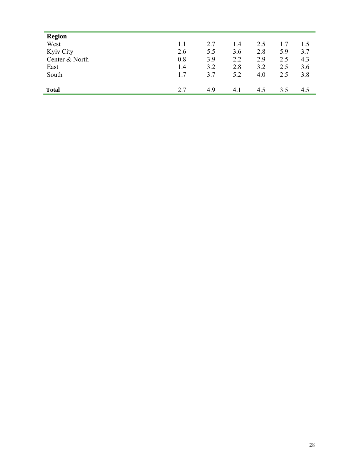| <b>Region</b>  |     |     |     |     |     |     |
|----------------|-----|-----|-----|-----|-----|-----|
| West           | 1.1 | 2.7 | 1.4 | 2.5 | 1.7 | 1.5 |
| Kyiv City      | 2.6 | 5.5 | 3.6 | 2.8 | 5.9 | 3.7 |
| Center & North | 0.8 | 3.9 | 2.2 | 2.9 | 2.5 | 4.3 |
| East           | 1.4 | 3.2 | 2.8 | 3.2 | 2.5 | 3.6 |
| South          | 1.7 | 3.7 | 5.2 | 4.0 | 2.5 | 3.8 |
|                |     |     |     |     |     |     |
| <b>Total</b>   | 2.7 | 4.9 | 4.1 | 4.5 | 3.5 | 4.5 |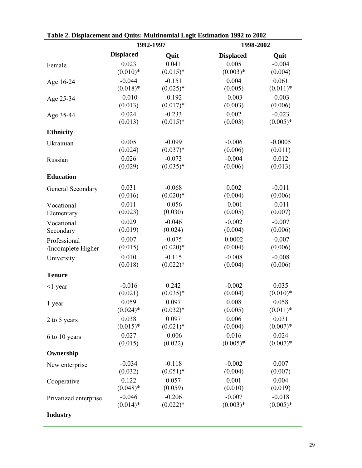| Table 2. Displacement and Quits. Multinonial Logit Estimation 1992 to 2002 |                  | 1992-1997   |                  | 1998-2002  |  |  |  |
|----------------------------------------------------------------------------|------------------|-------------|------------------|------------|--|--|--|
|                                                                            | <b>Displaced</b> | Quit        | <b>Displaced</b> | Quit       |  |  |  |
| Female                                                                     | 0.023            | 0.041       | 0.005            | $-0.004$   |  |  |  |
|                                                                            | $(0.010)*$       | $(0.015)*$  | $(0.003)*$       | (0.004)    |  |  |  |
| Age 16-24                                                                  | $-0.044$         | $-0.151$    | 0.004            | 0.061      |  |  |  |
|                                                                            | $(0.018)*$       | $(0.025)*$  | (0.005)          | $(0.011)*$ |  |  |  |
| Age 25-34                                                                  | $-0.010$         | $-0.192$    | $-0.003$         | $-0.003$   |  |  |  |
|                                                                            | (0.013)          | $(0.017)*$  | (0.003)          | (0.006)    |  |  |  |
| Age 35-44                                                                  | 0.024            | $-0.233$    | 0.002            | $-0.023$   |  |  |  |
|                                                                            | (0.013)          | $(0.015)*$  | (0.003)          | $(0.005)*$ |  |  |  |
| <b>Ethnicity</b>                                                           |                  |             |                  |            |  |  |  |
| Ukrainian                                                                  | 0.005            | $-0.099$    | $-0.006$         | $-0.0005$  |  |  |  |
|                                                                            | (0.024)          | $(0.037)*$  | (0.006)          | (0.011)    |  |  |  |
| Russian                                                                    | 0.026            | $-0.073$    | $-0.004$         | 0.012      |  |  |  |
|                                                                            | (0.029)          | $(0.035)*$  | (0.006)          | (0.013)    |  |  |  |
| <b>Education</b>                                                           |                  |             |                  |            |  |  |  |
| General Secondary                                                          | 0.031            | $-0.068$    | 0.002            | $-0.011$   |  |  |  |
|                                                                            | (0.016)          | $(0.020)*$  | (0.004)          | (0.006)    |  |  |  |
| Vocational                                                                 | 0.011            | $-0.056$    | $-0.001$         | $-0.011$   |  |  |  |
| Elementary                                                                 | (0.023)          | (0.030)     | (0.005)          | (0.007)    |  |  |  |
| Vocational                                                                 | 0.029            | $-0.046$    | $-0.002$         | $-0.007$   |  |  |  |
| Secondary                                                                  | (0.019)          | (0.024)     | (0.004)          | (0.006)    |  |  |  |
| Professional                                                               | 0.007            | $-0.075$    | 0.0002           | $-0.007$   |  |  |  |
| /Incomplete Higher                                                         | (0.015)          | $(0.020)*$  | (0.004)          | (0.006)    |  |  |  |
| University                                                                 | 0.010            | $-0.115$    | $-0.008$         | $-0.008$   |  |  |  |
|                                                                            | (0.018)          | $(0.022)*$  | (0.004)          | (0.006)    |  |  |  |
| <b>Tenure</b>                                                              |                  |             |                  |            |  |  |  |
| $\leq$ 1 year                                                              | $-0.016$         | 0.242       | $-0.002$         | 0.035      |  |  |  |
|                                                                            | (0.021)          | $(0.035)*$  | (0.004)          | $(0.010)*$ |  |  |  |
| 1 year                                                                     | 0.059            | 0.097       | 0.008            | 0.058      |  |  |  |
|                                                                            | $(0.024)$ *      | $(0.032)*$  | (0.005)          | $(0.011)*$ |  |  |  |
| 2 to 5 years                                                               | 0.038            | 0.097       | 0.006            | 0.031      |  |  |  |
|                                                                            | $(0.015)^*$      | $(0.021)$ * | (0.004)          | $(0.007)*$ |  |  |  |
| 6 to 10 years                                                              | 0.027            | $-0.006$    | 0.016            | 0.024      |  |  |  |
|                                                                            | (0.015)          | (0.022)     | $(0.005)*$       | $(0.007)*$ |  |  |  |
| Ownership                                                                  |                  |             |                  |            |  |  |  |
| New enterprise                                                             | $-0.034$         | $-0.118$    | $-0.002$         | 0.007      |  |  |  |
|                                                                            | (0.032)          | $(0.051)*$  | (0.004)          | (0.007)    |  |  |  |
| Cooperative                                                                | 0.122            | 0.057       | 0.001            | 0.004      |  |  |  |
|                                                                            | $(0.048)*$       | (0.059)     | (0.010)          | (0.019)    |  |  |  |
| Privatized enterprise                                                      | $-0.046$         | $-0.206$    | $-0.007$         | $-0.018$   |  |  |  |
|                                                                            | $(0.014)*$       | $(0.022)*$  | $(0.003)*$       | $(0.005)*$ |  |  |  |
| <b>Industry</b>                                                            |                  |             |                  |            |  |  |  |

| Table 2. Displacement and Quits: Multinomial Logit Estimation 1992 to 2002 |  |
|----------------------------------------------------------------------------|--|
|                                                                            |  |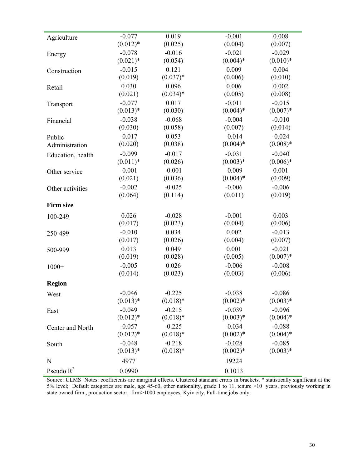| Agriculture       | $-0.077$    | 0.019      | $-0.001$   | 0.008      |
|-------------------|-------------|------------|------------|------------|
|                   | $(0.012)*$  | (0.025)    | (0.004)    | (0.007)    |
| Energy            | $-0.078$    | $-0.016$   | $-0.021$   | $-0.029$   |
|                   | $(0.021)$ * | (0.054)    | $(0.004)*$ | $(0.010)*$ |
| Construction      | $-0.015$    | 0.121      | 0.009      | 0.004      |
|                   | (0.019)     | $(0.037)*$ | (0.006)    | (0.010)    |
| Retail            | 0.030       | 0.096      | 0.006      | 0.002      |
|                   | (0.021)     | $(0.034)*$ | (0.005)    | (0.008)    |
| Transport         | $-0.077$    | 0.017      | $-0.011$   | $-0.015$   |
|                   | $(0.013)*$  | (0.030)    | $(0.004)*$ | $(0.007)*$ |
| Financial         | $-0.038$    | $-0.068$   | $-0.004$   | $-0.010$   |
|                   | (0.030)     | (0.058)    | (0.007)    | (0.014)    |
| Public            | $-0.017$    | 0.053      | $-0.014$   | $-0.024$   |
| Administration    | (0.020)     | (0.038)    | $(0.004)*$ | $(0.008)*$ |
| Education, health | $-0.099$    | $-0.017$   | $-0.031$   | $-0.040$   |
|                   | $(0.011)*$  | (0.026)    | $(0.003)*$ | $(0.006)*$ |
| Other service     | $-0.001$    | $-0.001$   | $-0.009$   | 0.001      |
|                   | (0.021)     | (0.036)    | $(0.004)*$ | (0.009)    |
| Other activities  | $-0.002$    | $-0.025$   | $-0.006$   | $-0.006$   |
|                   | (0.064)     | (0.114)    | (0.011)    | (0.019)    |
| <b>Firm size</b>  |             |            |            |            |
| 100-249           | 0.026       | $-0.028$   | $-0.001$   | 0.003      |
|                   | (0.017)     | (0.023)    | (0.004)    | (0.006)    |
| 250-499           | $-0.010$    | 0.034      | 0.002      | $-0.013$   |
|                   | (0.017)     | (0.026)    | (0.004)    | (0.007)    |
| 500-999           | 0.013       | 0.049      | 0.001      | $-0.021$   |
|                   | (0.019)     | (0.028)    | (0.005)    | $(0.007)*$ |
| $1000+$           | $-0.005$    | 0.026      | $-0.006$   | $-0.008$   |
|                   | (0.014)     | (0.023)    | (0.003)    | (0.006)    |
| <b>Region</b>     |             |            |            |            |
| West              | $-0.046$    | $-0.225$   | $-0.038$   | $-0.086$   |
|                   | $(0.013)*$  | $(0.018)*$ | $(0.002)*$ | $(0.003)*$ |
| East              | $-0.049$    | $-0.215$   | $-0.039$   | $-0.096$   |
|                   | $(0.012)*$  | $(0.018)*$ | $(0.003)*$ | $(0.004)*$ |
| Center and North  | $-0.057$    | $-0.225$   | $-0.034$   | $-0.088$   |
|                   | $(0.012)*$  | $(0.018)*$ | $(0.002)*$ | $(0.004)*$ |
| South             | $-0.048$    | $-0.218$   | $-0.028$   | $-0.085$   |
|                   | $(0.013)*$  | $(0.018)*$ | $(0.002)*$ | $(0.003)*$ |
| N                 | 4977        |            | 19224      |            |
| Pseudo $R^2$      | 0.0990      |            | 0.1013     |            |

Source: ULMS Notes: coefficients are marginal effects. Clustered standard errors in brackets. \* statistically significant at the 5% level; Default categories are male, age 45-60, other nationality, grade 1 to 11, tenure >10 years, previously working in state owned firm , production sector, firm>1000 employees, Kyiv city. Full-time jobs only.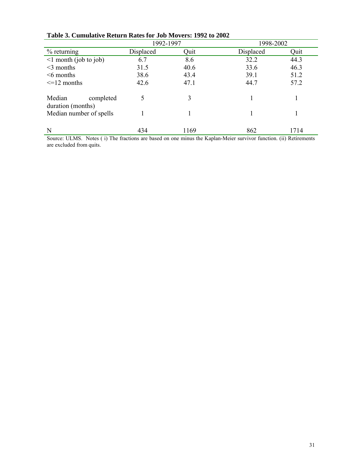|                                          | 1992-1997 |      | 1998-2002 |      |
|------------------------------------------|-----------|------|-----------|------|
| $%$ returning                            | Displaced | Quit | Displaced | Quit |
| $\leq 1$ month (job to job)              | 6.7       | 8.6  | 32.2      | 44.3 |
| $<$ 3 months                             | 31.5      | 40.6 | 33.6      | 46.3 |
| $\leq$ 6 months                          | 38.6      | 43.4 | 39.1      | 51.2 |
| $\leq$ 12 months                         | 42.6      | 47.1 | 44.7      | 57.2 |
| Median<br>completed<br>duration (months) |           | 3    |           |      |
| Median number of spells                  |           |      |           |      |
| N                                        | 434       | 1169 | 862       | 1714 |

# **Table 3. Cumulative Return Rates for Job Movers: 1992 to 2002**

Source: ULMS. Notes ( i) The fractions are based on one minus the Kaplan-Meier survivor function. (ii) Retirements are excluded from quits.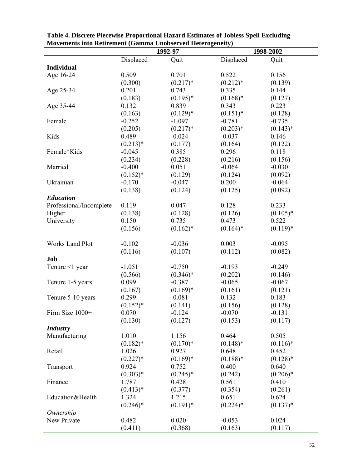| мотененіз інф кейтенені (банша сповяттей пейтоденен у<br>1998-2002<br>1992-97 |             |             |                      |             |  |  |
|-------------------------------------------------------------------------------|-------------|-------------|----------------------|-------------|--|--|
|                                                                               | Displaced   | Quit        | Displaced            | Quit        |  |  |
| <b>Individual</b>                                                             |             |             |                      |             |  |  |
| Age 16-24                                                                     | 0.509       | 0.701       | 0.522                | 0.156       |  |  |
|                                                                               | (0.300)     | $(0.217)*$  | $(0.212)*$           | (0.139)     |  |  |
|                                                                               | 0.201       | 0.743       | 0.335                | 0.144       |  |  |
| Age 25-34                                                                     |             | $(0.195)*$  |                      |             |  |  |
|                                                                               | (0.183)     | 0.839       | $(0.168)$ *<br>0.343 | (0.127)     |  |  |
| Age 35-44                                                                     | 0.132       |             |                      | 0.223       |  |  |
|                                                                               | (0.163)     | $(0.129)*$  | $(0.151)$ *          | (0.128)     |  |  |
| Female                                                                        | $-0.252$    | $-1.097$    | $-0.781$             | $-0.735$    |  |  |
|                                                                               | (0.205)     | $(0.217)*$  | $(0.203)*$           | $(0.143)*$  |  |  |
| Kids                                                                          | 0.489       | $-0.024$    | $-0.037$             | 0.146       |  |  |
|                                                                               | $(0.213)*$  | (0.177)     | (0.164)              | (0.122)     |  |  |
| Female*Kids                                                                   | $-0.045$    | 0.385       | 0.296                | 0.118       |  |  |
|                                                                               | (0.234)     | (0.228)     | (0.216)              | (0.156)     |  |  |
| Married                                                                       | $-0.400$    | 0.051       | $-0.064$             | $-0.030$    |  |  |
|                                                                               | $(0.152)*$  | (0.129)     | (0.124)              | (0.092)     |  |  |
| Ukrainian                                                                     | $-0.170$    | $-0.047$    | 0.200                | $-0.064$    |  |  |
|                                                                               | (0.138)     | (0.124)     | (0.125)              | (0.092)     |  |  |
| <b>Education</b>                                                              |             |             |                      |             |  |  |
| Professional/Incomplete                                                       | 0.119       | 0.047       | 0.128                | 0.233       |  |  |
| Higher                                                                        | (0.138)     | (0.128)     | (0.126)              | $(0.105)*$  |  |  |
| University                                                                    | 0.150       | 0.735       | 0.473                | 0.522       |  |  |
|                                                                               | (0.156)     | $(0.162)*$  | $(0.164)$ *          | $(0.119)*$  |  |  |
|                                                                               |             |             |                      |             |  |  |
| <b>Works Land Plot</b>                                                        | $-0.102$    | $-0.036$    | 0.003                | $-0.095$    |  |  |
|                                                                               | (0.116)     | (0.107)     | (0.112)              | (0.082)     |  |  |
| Job                                                                           |             |             |                      |             |  |  |
| Tenure $\leq 1$ year                                                          | $-1.051$    | $-0.750$    | $-0.193$             | $-0.249$    |  |  |
|                                                                               | (0.566)     | $(0.346)*$  | (0.202)              | (0.146)     |  |  |
| Tenure 1-5 years                                                              | 0.099       | $-0.387$    | $-0.065$             | $-0.067$    |  |  |
|                                                                               | (0.167)     | $(0.169)*$  | (0.161)              | (0.121)     |  |  |
| Tenure 5-10 years                                                             | 0.299       | $-0.081$    | 0.132                | 0.183       |  |  |
|                                                                               | $(0.152)*$  | (0.141)     | (0.156)              | (0.128)     |  |  |
|                                                                               | 0.070       | $-0.124$    | $-0.070$             | $-0.131$    |  |  |
| Firm Size 1000+                                                               |             |             |                      |             |  |  |
|                                                                               | (0.130)     | (0.127)     | (0.153)              | (0.117)     |  |  |
| <b>Industry</b>                                                               |             |             |                      |             |  |  |
| Manufacturing                                                                 | 1.010       | 1.156       | 0.464                | 0.505       |  |  |
|                                                                               | $(0.182)$ * | $(0.170)*$  | $(0.148)$ *          | $(0.116)$ * |  |  |
| Retail                                                                        | 1.026       | 0.927       | 0.648                | 0.452       |  |  |
|                                                                               | $(0.227)*$  | $(0.169)*$  | $(0.188)*$           | $(0.128)$ * |  |  |
| Transport                                                                     | 0.924       | 0.752       | 0.400                | 0.640       |  |  |
|                                                                               | $(0.303)*$  | $(0.245)*$  | (0.242)              | $(0.206)*$  |  |  |
| Finance                                                                       | 1.787       | 0.428       | 0.561                | 0.410       |  |  |
|                                                                               | $(0.413)*$  | (0.377)     | (0.354)              | (0.261)     |  |  |
| Education&Health                                                              | 1.324       | 1.215       | 0.651                | 0.624       |  |  |
|                                                                               | $(0.246)*$  | $(0.191)$ * | $(0.224)$ *          | $(0.137)*$  |  |  |
| Ownership                                                                     |             |             |                      |             |  |  |
| New Private                                                                   | 0.482       | 0.020       | $-0.053$             | 0.024       |  |  |
|                                                                               | (0.411)     | (0.368)     | (0.163)              | (0.117)     |  |  |

**Table 4. Discrete Piecewise Proportional Hazard Estimates of Jobless Spell Excluding Movements into Retirement (Gamma Unobserved Heterogeneity)**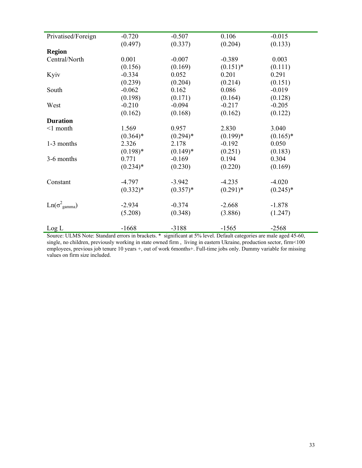| Privatised/Foreign            | $-0.720$   | $-0.507$   | 0.106       | $-0.015$   |
|-------------------------------|------------|------------|-------------|------------|
|                               | (0.497)    | (0.337)    | (0.204)     | (0.133)    |
| <b>Region</b>                 |            |            |             |            |
| Central/North                 | 0.001      | $-0.007$   | $-0.389$    | 0.003      |
|                               | (0.156)    | (0.169)    | $(0.151)^*$ | (0.111)    |
| Kyiv                          | $-0.334$   | 0.052      | 0.201       | 0.291      |
|                               | (0.239)    | (0.204)    | (0.214)     | (0.151)    |
| South                         | $-0.062$   | 0.162      | 0.086       | $-0.019$   |
|                               | (0.198)    | (0.171)    | (0.164)     | (0.128)    |
| West                          | $-0.210$   | $-0.094$   | $-0.217$    | $-0.205$   |
|                               | (0.162)    | (0.168)    | (0.162)     | (0.122)    |
| <b>Duration</b>               |            |            |             |            |
| $\leq$ 1 month                | 1.569      | 0.957      | 2.830       | 3.040      |
|                               | $(0.364)*$ | $(0.294)*$ | $(0.199)*$  | $(0.165)*$ |
| 1-3 months                    | 2.326      | 2.178      | $-0.192$    | 0.050      |
|                               | $(0.198)*$ | $(0.149)*$ | (0.251)     | (0.183)    |
| 3-6 months                    | 0.771      | $-0.169$   | 0.194       | 0.304      |
|                               | $(0.234)*$ | (0.230)    | (0.220)     | (0.169)    |
|                               |            |            |             |            |
| Constant                      | $-4.797$   | $-3.942$   | $-4.235$    | $-4.020$   |
|                               | $(0.332)*$ | $(0.357)*$ | $(0.291)$ * | $(0.245)*$ |
|                               |            |            |             |            |
| $Ln(\sigma_{\text{gamma}}^2)$ | $-2.934$   | $-0.374$   | $-2.668$    | $-1.878$   |
|                               | (5.208)    | (0.348)    | (3.886)     | (1.247)    |
|                               |            |            |             |            |
| Log L                         | $-1668$    | $-3188$    | $-1565$     | $-2568$    |

Source: ULMS Note: Standard errors in brackets. \* significant at 5% level. Default categories are male aged 45-60, single, no children, previously working in state owned firm , living in eastern Ukraine, production sector, firm<100 employees, previous job tenure 10 years +, out of work 6months+. Full-time jobs only. Dummy variable for missing values on firm size included.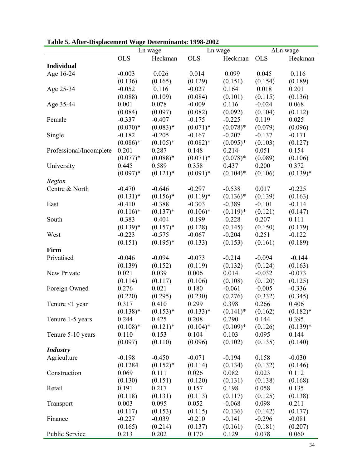|                          | Ln wage     |             | Ln wage     |             | $\Delta$ Ln wage |             |  |
|--------------------------|-------------|-------------|-------------|-------------|------------------|-------------|--|
|                          | <b>OLS</b>  | Heckman     | <b>OLS</b>  | Heckman     | <b>OLS</b>       | Heckman     |  |
| <b>Individual</b>        |             |             |             |             |                  |             |  |
| Age 16-24                | $-0.003$    | 0.026       | 0.014       | 0.099       | 0.045            | 0.116       |  |
|                          | (0.136)     | (0.165)     | (0.129)     | (0.151)     | (0.154)          | (0.189)     |  |
| Age 25-34                | $-0.052$    | 0.116       | $-0.027$    | 0.164       | 0.018            | 0.201       |  |
|                          | (0.088)     | (0.109)     | (0.084)     | (0.101)     | (0.115)          | (0.136)     |  |
| Age 35-44                | 0.001       | 0.078       | $-0.009$    | 0.116       | $-0.024$         | 0.068       |  |
|                          | (0.084)     | (0.097)     | (0.082)     | (0.092)     | (0.104)          | (0.112)     |  |
| Female                   | $-0.337$    | $-0.407$    | $-0.175$    | $-0.225$    | 0.119            | 0.025       |  |
|                          | $(0.070)*$  | $(0.083)*$  | $(0.071)*$  | $(0.078)*$  | (0.079)          | (0.096)     |  |
| Single                   | $-0.182$    | $-0.205$    | $-0.167$    | $-0.207$    | $-0.137$         | $-0.171$    |  |
|                          | $(0.086)*$  | $(0.105)*$  | $(0.082)*$  | $(0.095)*$  | (0.103)          | (0.127)     |  |
| Professional/Incomplete  | 0.201       | 0.287       | 0.148       | 0.214       | 0.051            | 0.154       |  |
|                          | $(0.077)*$  | $(0.088)*$  | $(0.071)*$  | $(0.078)*$  | (0.089)          | (0.106)     |  |
| University               | 0.445       | 0.589       | 0.358       | 0.437       | 0.200            | 0.372       |  |
|                          | $(0.097)*$  | $(0.121)$ * | $(0.091)$ * | $(0.104)$ * | (0.106)          | $(0.139)*$  |  |
|                          |             |             |             |             |                  |             |  |
| Region<br>Centre & North |             |             |             |             | 0.017            |             |  |
|                          | $-0.470$    | $-0.646$    | $-0.297$    | $-0.538$    |                  | $-0.225$    |  |
|                          | $(0.131)*$  | $(0.156)$ * | $(0.119)*$  | $(0.136)*$  | (0.139)          | (0.163)     |  |
| East                     | $-0.410$    | $-0.388$    | $-0.303$    | $-0.389$    | $-0.101$         | $-0.114$    |  |
|                          | $(0.116)$ * | $(0.137)*$  | $(0.106)*$  | $(0.119)*$  | (0.121)          | (0.147)     |  |
| South                    | $-0.383$    | $-0.404$    | $-0.199$    | $-0.228$    | 0.207            | 0.111       |  |
|                          | $(0.139)*$  | $(0.157)^*$ | (0.128)     | (0.145)     | (0.150)          | (0.179)     |  |
| West                     | $-0.223$    | $-0.575$    | $-0.067$    | $-0.204$    | 0.251            | $-0.122$    |  |
|                          | (0.151)     | $(0.195)*$  | (0.133)     | (0.153)     | (0.161)          | (0.189)     |  |
| Firm                     |             |             |             |             |                  |             |  |
| Privatised               | $-0.046$    | $-0.094$    | $-0.073$    | $-0.214$    | $-0.094$         | $-0.144$    |  |
|                          | (0.139)     | (0.152)     | (0.119)     | (0.132)     | (0.124)          | (0.163)     |  |
| New Private              | 0.021       | 0.039       | 0.006       | 0.014       | $-0.032$         | $-0.073$    |  |
|                          | (0.114)     | (0.117)     | (0.106)     | (0.108)     | (0.120)          | (0.125)     |  |
| Foreign Owned            | 0.276       | 0.021       | 0.180       | $-0.061$    | $-0.005$         | $-0.336$    |  |
|                          | (0.220)     | (0.295)     | (0.230)     | (0.276)     | (0.332)          | (0.345)     |  |
| Tenure $\leq 1$ year     | 0.317       | 0.410       | 0.299       | 0.398       | 0.266            | 0.406       |  |
|                          | $(0.138)*$  | $(0.153)*$  | $(0.133)*$  | $(0.141)^*$ | (0.162)          | $(0.182)$ * |  |
| Tenure 1-5 years         | 0.244       | 0.425       | 0.208       | 0.290       | 0.144            | 0.395       |  |
|                          | $(0.108)*$  | $(0.121)$ * | $(0.104)$ * | $(0.109)*$  | (0.126)          | $(0.139)*$  |  |
| Tenure 5-10 years        | 0.110       | 0.153       | 0.104       | 0.103       | 0.095            | 0.144       |  |
|                          | (0.097)     | (0.110)     | (0.096)     | (0.102)     | (0.135)          | (0.140)     |  |
| <b>Industry</b>          |             |             |             |             |                  |             |  |
| Agriculture              | $-0.198$    | $-0.450$    | $-0.071$    | $-0.194$    | 0.158            | $-0.030$    |  |
|                          | (0.1284)    | $(0.152)*$  | (0.114)     | (0.134)     | (0.132)          | (0.146)     |  |
| Construction             | 0.069       | 0.111       | 0.026       | 0.082       | 0.023            | 0.112       |  |
|                          | (0.130)     | (0.151)     | (0.120)     | (0.131)     | (0.138)          | (0.168)     |  |
| Retail                   | 0.191       | 0.217       | 0.157       | 0.198       | 0.058            | 0.135       |  |
|                          | (0.118)     | (0.131)     | (0.113)     | (0.117)     | (0.125)          | (0.138)     |  |
| Transport                | 0.003       | 0.095       | 0.052       | $-0.068$    | 0.098            | 0.211       |  |
|                          | (0.117)     | (0.153)     | (0.115)     | (0.136)     | (0.142)          | (0.177)     |  |
| Finance                  | $-0.227$    | $-0.039$    | $-0.210$    | $-0.141$    | $-0.296$         | $-0.081$    |  |
|                          | (0.165)     | (0.214)     | (0.137)     | (0.161)     | (0.181)          | (0.207)     |  |
| Public Service           | 0.213       | 0.202       | 0.170       | 0.129       | 0.078            | 0.060       |  |

**Table 5. After-Displacement Wage Determinants: 1998-2002**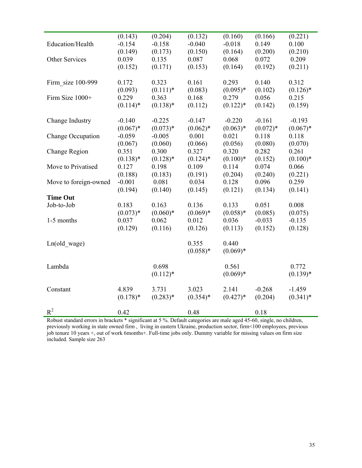|                       | (0.143)          | (0.204)             | (0.132)          | (0.160)             | (0.166)          | (0.221)              |
|-----------------------|------------------|---------------------|------------------|---------------------|------------------|----------------------|
| Education/Health      | $-0.154$         | $-0.158$            | $-0.040$         | $-0.018$            | 0.149            | 0.100                |
|                       | (0.149)          | (0.173)             | (0.150)          | (0.164)             | (0.200)          | (0.210)              |
| Other Services        | 0.039            | 0.135               | 0.087            | 0.068               | 0.072            | 0.209                |
|                       | (0.152)          | (0.171)             | (0.153)          | (0.164)             | (0.192)          | (0.211)              |
|                       |                  |                     |                  |                     |                  |                      |
| Firm size 100-999     | 0.172            | 0.323               | 0.161            | 0.293               | 0.140            | 0.312                |
|                       | (0.093)<br>0.229 | $(0.111)*$<br>0.363 | (0.083)<br>0.168 | $(0.095)*$<br>0.279 | (0.102)<br>0.056 | $(0.126)$ *<br>0.215 |
| Firm Size 1000+       | $(0.114)$ *      | $(0.138)*$          |                  | $(0.122)*$          |                  | (0.159)              |
|                       |                  |                     | (0.112)          |                     | (0.142)          |                      |
| Change Industry       | $-0.140$         | $-0.225$            | $-0.147$         | $-0.220$            | $-0.161$         | $-0.193$             |
|                       | $(0.067)*$       | $(0.073)*$          | $(0.062)*$       | $(0.063)*$          | $(0.072)*$       | $(0.067)*$           |
| Change Occupation     | $-0.059$         | $-0.005$            | 0.001            | 0.021               | 0.118            | 0.118                |
|                       | (0.067)          | (0.060)             | (0.066)          | (0.056)             | (0.080)          | (0.070)              |
| Change Region         | 0.351            | 0.300               | 0.327            | 0.320               | 0.282            | 0.261                |
|                       | $(0.138)*$       | $(0.128)$ *         | $(0.124)$ *      | $(0.100)*$          | (0.152)          | $(0.100)*$           |
| Move to Privatised    | 0.127            | 0.198               | 0.109            | 0.114               | 0.074            | 0.066                |
|                       | (0.188)          | (0.183)             | (0.191)          | (0.204)             | (0.240)          | (0.221)              |
| Move to foreign-owned | $-0.001$         | 0.081               | 0.034            | 0.128               | 0.096            | 0.259                |
|                       | (0.194)          | (0.140)             | (0.145)          | (0.121)             | (0.134)          | (0.141)              |
| <b>Time Out</b>       |                  |                     |                  |                     |                  |                      |
| Job-to-Job            | 0.183            | 0.163               | 0.136            | 0.133               | 0.051            | 0.008                |
|                       | $(0.073)*$       | $(0.060)*$          | $(0.069)*$       | $(0.058)*$          | (0.085)          | (0.075)              |
| 1-5 months            | 0.037            | 0.062               | 0.012            | 0.036               | $-0.033$         | $-0.135$             |
|                       | (0.129)          | (0.116)             | (0.126)          | (0.113)             | (0.152)          | (0.128)              |
|                       |                  |                     |                  |                     |                  |                      |
| Ln(old wage)          |                  |                     | 0.355            | 0.440               |                  |                      |
|                       |                  |                     | $(0.058)*$       | $(0.069)*$          |                  |                      |
| Lambda                |                  | 0.698               |                  | 0.561               |                  | 0.772                |
|                       |                  | $(0.112)*$          |                  | $(0.069)*$          |                  | $(0.139)*$           |
|                       |                  |                     |                  |                     |                  |                      |
| Constant              | 4.839            | 3.731               | 3.023            | 2.141               | $-0.268$         | $-1.459$             |
|                       | $(0.178)$ *      | $(0.283)*$          | $(0.354)*$       | $(0.427)*$          | (0.204)          | $(0.341)*$           |
|                       |                  |                     |                  |                     |                  |                      |
| $R^2$                 | 0.42             |                     | 0.48             |                     | 0.18             |                      |

Robust standard errors in brackets \* significant at 5 %. Default categories are male aged 45-60, single, no children, previously working in state owned firm , living in eastern Ukraine, production sector, firm<100 employees, previous job tenure 10 years +, out of work 6months+. Full-time jobs only. Dummy variable for missing values on firm size included. Sample size 263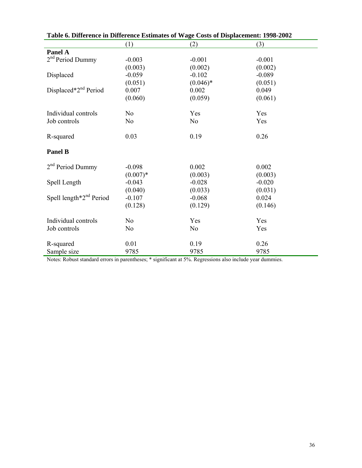| Table 0. Difference in Difference Estimates of Wage Costs of Displacement: 1998-2002 |                |                |          |  |  |  |
|--------------------------------------------------------------------------------------|----------------|----------------|----------|--|--|--|
|                                                                                      | (1)            | (2)            | (3)      |  |  |  |
| Panel A                                                                              |                |                |          |  |  |  |
| 2 <sup>nd</sup> Period Dummy                                                         | $-0.003$       | $-0.001$       | $-0.001$ |  |  |  |
|                                                                                      | (0.003)        | (0.002)        | (0.002)  |  |  |  |
| Displaced                                                                            | $-0.059$       | $-0.102$       | $-0.089$ |  |  |  |
|                                                                                      | (0.051)        | $(0.046)*$     | (0.051)  |  |  |  |
| Displaced*2 <sup>nd</sup> Period                                                     | 0.007          | 0.002          | 0.049    |  |  |  |
|                                                                                      | (0.060)        | (0.059)        | (0.061)  |  |  |  |
| Individual controls                                                                  | N <sub>o</sub> | Yes            | Yes      |  |  |  |
| Job controls                                                                         | N <sub>o</sub> | N <sub>o</sub> | Yes      |  |  |  |
| R-squared                                                                            | 0.03           | 0.19           | 0.26     |  |  |  |
| <b>Panel B</b>                                                                       |                |                |          |  |  |  |
| 2 <sup>nd</sup> Period Dummy                                                         | $-0.098$       | 0.002          | 0.002    |  |  |  |
|                                                                                      | $(0.007)*$     | (0.003)        | (0.003)  |  |  |  |
| Spell Length                                                                         | $-0.043$       | $-0.028$       | $-0.020$ |  |  |  |
|                                                                                      | (0.040)        | (0.033)        | (0.031)  |  |  |  |
| Spell length $*2nd$ Period                                                           | $-0.107$       | $-0.068$       | 0.024    |  |  |  |
|                                                                                      | (0.128)        | (0.129)        | (0.146)  |  |  |  |
| Individual controls                                                                  | N <sub>o</sub> | Yes            | Yes      |  |  |  |
| Job controls                                                                         | N <sub>o</sub> | N <sub>o</sub> | Yes      |  |  |  |
| R-squared                                                                            | 0.01           | 0.19           | 0.26     |  |  |  |
| Sample size                                                                          | 9785           | 9785           | 9785     |  |  |  |

| Table 6. Difference in Difference Estimates of Wage Costs of Displacement: 1998-2002 |  |  |  |  |
|--------------------------------------------------------------------------------------|--|--|--|--|
|                                                                                      |  |  |  |  |

Notes: Robust standard errors in parentheses; \* significant at 5%. Regressions also include year dummies.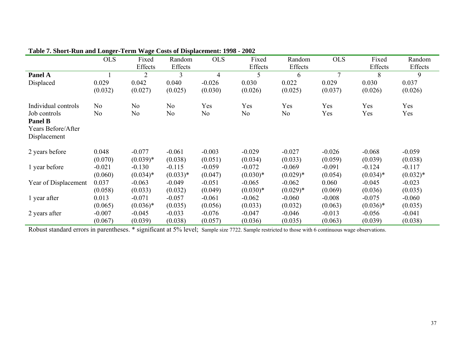|                                                                      | <b>OLS</b> | Fixed<br>Effects | Random<br>Effects | <b>OLS</b>     | Fixed<br>Effects | Random<br>Effects | <b>OLS</b>     | Fixed<br>Effects | Random<br>Effects |
|----------------------------------------------------------------------|------------|------------------|-------------------|----------------|------------------|-------------------|----------------|------------------|-------------------|
| Panel A                                                              |            | 2                | 3                 | $\overline{4}$ | 5                | 6                 | $\overline{7}$ | 8                | 9                 |
| Displaced                                                            | 0.029      | 0.042            | 0.040             | $-0.026$       | 0.030            | 0.022             | 0.029          | 0.030            | 0.037             |
|                                                                      | (0.032)    | (0.027)          | (0.025)           | (0.030)        | (0.026)          | (0.025)           | (0.037)        | (0.026)          | (0.026)           |
| Individual controls                                                  | No         | No               | No                | Yes            | Yes              | Yes               | Yes            | Yes              | Yes               |
| Job controls<br><b>Panel B</b><br>Years Before/After<br>Displacement | No         | No               | No                | No             | No               | No                | Yes            | Yes              | Yes               |
| 2 years before                                                       | 0.048      | $-0.077$         | $-0.061$          | $-0.003$       | $-0.029$         | $-0.027$          | $-0.026$       | $-0.068$         | $-0.059$          |
|                                                                      | (0.070)    | $(0.039)*$       | (0.038)           | (0.051)        | (0.034)          | (0.033)           | (0.059)        | (0.039)          | (0.038)           |
| 1 year before                                                        | $-0.021$   | $-0.130$         | $-0.115$          | $-0.059$       | $-0.072$         | $-0.069$          | $-0.091$       | $-0.124$         | $-0.117$          |
|                                                                      | (0.060)    | $(0.034)*$       | $(0.033)*$        | (0.047)        | $(0.030)*$       | $(0.029)*$        | (0.054)        | $(0.034)*$       | $(0.032)*$        |
| Year of Displacement                                                 | 0.037      | $-0.063$         | $-0.049$          | $-0.051$       | $-0.065$         | $-0.062$          | 0.060          | $-0.045$         | $-0.023$          |
|                                                                      | (0.058)    | (0.033)          | (0.032)           | (0.049)        | $(0.030)*$       | $(0.029)*$        | (0.069)        | (0.036)          | (0.035)           |
| 1 year after                                                         | 0.013      | $-0.071$         | $-0.057$          | $-0.061$       | $-0.062$         | $-0.060$          | $-0.008$       | $-0.075$         | $-0.060$          |
|                                                                      | (0.065)    | $(0.036)*$       | (0.035)           | (0.056)        | (0.033)          | (0.032)           | (0.063)        | $(0.036)*$       | (0.035)           |
| 2 years after                                                        | $-0.007$   | $-0.045$         | $-0.033$          | $-0.076$       | $-0.047$         | $-0.046$          | $-0.013$       | $-0.056$         | $-0.041$          |
|                                                                      | (0.067)    | (0.039)          | (0.038)           | (0.057)        | (0.036)          | (0.035)           | (0.063)        | (0.039)          | (0.038)           |

# **Table 7. Short-Run and Longer-Term Wage Costs of Displacement: 1998 - 2002**

Robust standard errors in parentheses. \* significant at 5% level; Sample size 7722. Sample restricted to those with 6 continuous wage observations.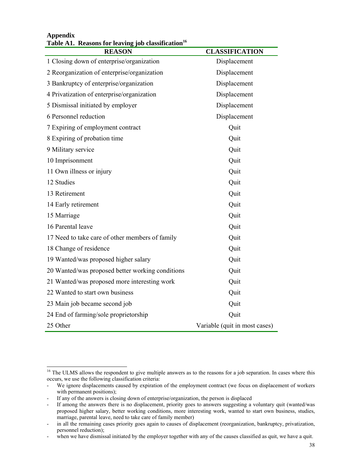| <b>REASON</b>                                    | <b>CLASSIFICATION</b>         |
|--------------------------------------------------|-------------------------------|
| 1 Closing down of enterprise/organization        | Displacement                  |
| 2 Reorganization of enterprise/organization      | Displacement                  |
| 3 Bankruptcy of enterprise/organization          | Displacement                  |
| 4 Privatization of enterprise/organization       | Displacement                  |
| 5 Dismissal initiated by employer                | Displacement                  |
| 6 Personnel reduction                            | Displacement                  |
| 7 Expiring of employment contract                | Quit                          |
| 8 Expiring of probation time                     | Quit                          |
| 9 Military service                               | Quit                          |
| 10 Imprisonment                                  | Quit                          |
| 11 Own illness or injury                         | Quit                          |
| 12 Studies                                       | Quit                          |
| 13 Retirement                                    | Quit                          |
| 14 Early retirement                              | Quit                          |
| 15 Marriage                                      | Quit                          |
| 16 Parental leave                                | Quit                          |
| 17 Need to take care of other members of family  | Quit                          |
| 18 Change of residence                           | Quit                          |
| 19 Wanted/was proposed higher salary             | Quit                          |
| 20 Wanted/was proposed better working conditions | Quit                          |
| 21 Wanted/was proposed more interesting work     | Quit                          |
| 22 Wanted to start own business                  | Quit                          |
| 23 Main job became second job                    | Quit                          |
| 24 End of farming/sole proprietorship            | Quit                          |
| 25 Other                                         | Variable (quit in most cases) |

### **Appendix**  Table A1. Reasons for leaving job classification<sup>16</sup>

l <sup>16</sup> The ULMS allows the respondent to give multiple answers as to the reasons for a job separation. In cases where this occurs, we use the following classification criteria:

<sup>-</sup> We ignore displacements caused by expiration of the employment contract (we focus on displacement of workers with permanent positions);

<sup>-</sup> If any of the answers is closing down of enterprise/organization, the person is displaced

<sup>-</sup> If among the answers there is no displacement, priority goes to answers suggesting a voluntary quit (wanted/was proposed higher salary, better working conditions, more interesting work, wanted to start own business, studies, marriage, parental leave, need to take care of family member)

<sup>-</sup> in all the remaining cases priority goes again to causes of displacement (reorganization, bankruptcy, privatization, personnel reduction);

<sup>-</sup> when we have dismissal initiated by the employer together with any of the causes classified as quit, we have a quit.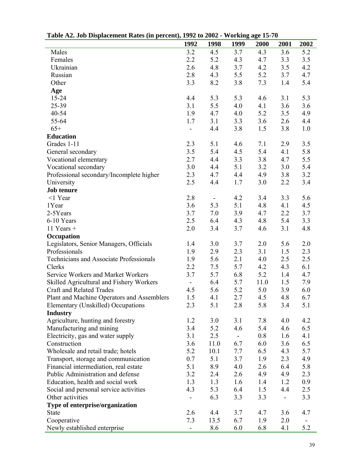| Table A2. Job Displacement Kates (in percent), 1992 to 2002 - Working age 19-70 |                          |                          |               |      |      |      |
|---------------------------------------------------------------------------------|--------------------------|--------------------------|---------------|------|------|------|
|                                                                                 | 1992                     | 1998                     | 1999          | 2000 | 2001 | 2002 |
| Males                                                                           | 3.2                      | 4.5                      | 3.7           | 4.3  | 3.6  | 5.2  |
| Females                                                                         | 2.2                      | 5.2                      | 4.3           | 4.7  | 3.3  | 3.5  |
| Ukrainian                                                                       | 2.6                      | 4.8                      | 3.7           | 4.2  | 3.5  | 4.2  |
| Russian                                                                         | 2.8                      | 4.3                      | 5.5           | 5.2  | 3.7  | 4.7  |
| Other                                                                           | 3.3                      | 8.2                      | 3.8           | 7.3  | 1.4  | 5.4  |
| Age                                                                             |                          |                          |               |      |      |      |
| $15 - 24$                                                                       | 4.4                      | 5.3                      | 5.3           | 4.6  | 3.1  | 5.3  |
| 25-39                                                                           | 3.1                      | 5.5                      | 4.0           | 4.1  | 3.6  | 3.6  |
| 40-54                                                                           | 1.9                      | 4.7                      | 4.0           | 5.2  | 3.5  | 4.9  |
| 55-64                                                                           | 1.7                      | 3.1                      | 3.3           | 3.6  | 2.6  | 4.4  |
| $65+$                                                                           |                          | 4.4                      | 3.8           | 1.5  | 3.8  | 1.0  |
| <b>Education</b>                                                                |                          |                          |               |      |      |      |
| Grades 1-11                                                                     | 2.3                      | 5.1                      | 4.6           | 7.1  | 2.9  | 3.5  |
| General secondary                                                               | 3.5                      | 5.4                      | 4.5           | 5.4  | 4.1  | 5.8  |
| Vocational elementary                                                           | 2.7                      | 4.4                      | 3.3           | 3.8  | 4.7  | 5.5  |
| Vocational secondary                                                            | 3.0                      | 4.4                      | 5.1           | 3.2  | 3.0  | 5.4  |
| Professional secondary/Incomplete higher                                        | 2.3                      | 4.7                      | 4.4           | 4.9  | 3.8  | 3.2  |
|                                                                                 | 2.5                      | 4.4                      | 1.7           | 3.0  | 2.2  | 3.4  |
| University                                                                      |                          |                          |               |      |      |      |
| <b>Job tenure</b>                                                               |                          |                          |               |      |      |      |
| $<$ 1 Year                                                                      | 2.8                      | $\overline{\phantom{0}}$ | 4.2           | 3.4  | 3.3  | 5.6  |
| 1Year                                                                           | 3.6                      | 5.3                      | 5.1           | 4.8  | 4.1  | 4.5  |
| 2-5Years                                                                        | 3.7                      | 7.0                      | 3.9           | 4.7  | 2.2  | 3.7  |
| 6-10 Years                                                                      | 2.5                      | 6.4                      | 4.3           | 4.8  | 5.4  | 3.3  |
| $11$ Years +                                                                    | 2.0                      | 3.4                      | 3.7           | 4.6  | 3.1  | 4.8  |
| Occupation                                                                      |                          |                          |               |      |      |      |
| Legislators, Senior Managers, Officials                                         | 1.4                      | 3.0                      | 3.7           | 2.0  | 5.6  | 2.0  |
| Professionals                                                                   | 1.9                      | 2.9                      | 2.3           | 3.1  | 1.5  | 2.3  |
| Technicians and Associate Professionals                                         | 1.9                      | 5.6                      | 2.1           | 4.0  | 2.5  | 2.5  |
| Clerks                                                                          | 2.2                      | 7.5                      | 5.7           | 4.2  | 4.3  | 6.1  |
| Service Workers and Market Workers                                              | 3.7                      | 5.7                      | 6.8           | 5.2  | 1.4  | 4.7  |
| Skilled Agricultural and Fishery Workers                                        | $\blacksquare$           | 6.4                      | 5.7           | 11.0 | 1.5  | 7.9  |
| Craft and Related Trades                                                        | 4.5                      | 5.6                      | 5.2           | 5.0  | 3.9  | 6.0  |
| Plant and Machine Operators and Assemblers                                      | 1.5                      | 4.1                      | 2.7           | 4.5  | 4.8  | 6.7  |
| Elementary (Unskilled) Occupations                                              | 2.3                      | 5.1                      | 2.8           | 5.8  | 3.4  | 5.1  |
| <b>Industry</b>                                                                 |                          |                          |               |      |      |      |
| Agriculture, hunting and forestry                                               | 1.2                      | 3.0                      | 3.1           | 7.8  | 4.0  | 4.2  |
| Manufacturing and mining                                                        | 3.4                      | 5.2                      | 4.6           | 5.4  | 4.6  | 6.5  |
| Electricity, gas and water supply                                               | 3.1                      | 2.5                      | $\frac{1}{2}$ | 0.8  | 1.6  | 4.1  |
| Construction                                                                    | 3.6                      | 11.0                     | 6.7           | 6.0  | 3.6  | 6.5  |
| Wholesale and retail trade; hotels                                              | 5.2                      | 10.1                     | 7.7           | 6.5  | 4.3  | 5.7  |
| Transport, storage and communication                                            | 0.7                      | 5.1                      | 3.7           | 1.9  | 2.3  | 4.9  |
| Financial intermediation, real estate                                           | 5.1                      | 8.9                      | 4.0           | 2.6  | 6.4  | 5.8  |
| Public Administration and defense                                               | 3.2                      | 2.4                      | 2.6           | 4.9  | 4.9  | 2.3  |
| Education, health and social work                                               | 1.3                      | 1.3                      | 1.6           | 1.4  | 1.2  | 0.9  |
| Social and personal service activities                                          | 4.3                      | 5.3                      | 6.4           | 1.5  | 4.4  | 2.5  |
| Other activities                                                                |                          |                          | 3.3           |      |      |      |
|                                                                                 |                          | 6.3                      |               | 3.3  |      | 3.3  |
| Type of enterprise/organization                                                 |                          |                          |               |      |      |      |
| <b>State</b>                                                                    | 2.6                      | 4.4                      | 3.7           | 4.7  | 3.6  | 4.7  |
| Cooperative                                                                     | 7.3                      | 13.5                     | 6.7           | 1.9  | 2.0  |      |
| Newly established enterprise                                                    | $\overline{\phantom{0}}$ | 8.6                      | 6.0           | 6.8  | 4.1  | 5.2  |

**Table A2. Job Displacement Rates (in percent), 1992 to 2002 - Working age 15-70**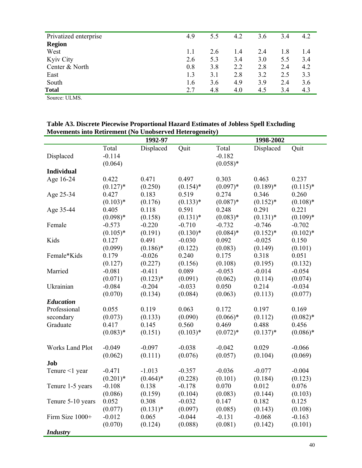| Privatized enterprise | 4.9 | 5.5 | 4.2 | 3.6 | 3.4 | 4.2 |
|-----------------------|-----|-----|-----|-----|-----|-----|
| <b>Region</b>         |     |     |     |     |     |     |
| West                  | 1.1 | 2.6 | 1.4 | 2.4 | 1.8 | 1.4 |
| Kyiv City             | 2.6 | 5.3 | 3.4 | 3.0 | 5.5 | 3.4 |
| Center & North        | 0.8 | 3.8 | 2.2 | 2.8 | 2.4 | 4.2 |
| East                  | 1.3 | 3.1 | 2.8 | 3.2 | 2.5 | 3.3 |
| South                 | 1.6 | 3.6 | 4.9 | 3.9 | 2.4 | 3.6 |
| Total                 | 2.7 | 4.8 | 4.0 | 4.5 | 3.4 | 4.3 |

Source: ULMS.

**Table A3. Discrete Piecewise Proportional Hazard Estimates of Jobless Spell Excluding Movements into Retirement (No Unobserved Heterogeneity)** 

| MOVEMENTS MIO KEIN CHICHT (TW ONODSCI VEG TIETEI OGCHEITY) |             | 1992-97     |             |            | 1998-2002   |             |
|------------------------------------------------------------|-------------|-------------|-------------|------------|-------------|-------------|
|                                                            | Total       | Displaced   | Quit        | Total      | Displaced   | Quit        |
| Displaced                                                  | $-0.114$    |             |             | $-0.182$   |             |             |
|                                                            | (0.064)     |             |             | $(0.058)*$ |             |             |
| <b>Individual</b>                                          |             |             |             |            |             |             |
|                                                            | 0.422       | 0.471       | 0.497       | 0.303      | 0.463       | 0.237       |
| Age 16-24                                                  |             |             |             |            |             |             |
|                                                            | $(0.127)$ * | (0.250)     | $(0.154)$ * | $(0.097)*$ | $(0.189)*$  | $(0.115)^*$ |
| Age 25-34                                                  | 0.427       | 0.183       | 0.519       | 0.274      | 0.346       | 0.260       |
|                                                            | $(0.103)*$  | (0.176)     | $(0.133)*$  | $(0.087)*$ | $(0.152)*$  | $(0.108)*$  |
| Age 35-44                                                  | 0.405       | 0.118       | 0.591       | 0.248      | 0.291       | 0.221       |
|                                                            | $(0.098)*$  | (0.158)     | $(0.131)*$  | $(0.083)*$ | $(0.131)^*$ | $(0.109)*$  |
| Female                                                     | $-0.573$    | $-0.220$    | $-0.710$    | $-0.732$   | $-0.746$    | $-0.702$    |
|                                                            | $(0.105)*$  | (0.191)     | $(0.130)*$  | $(0.084)*$ | $(0.152)*$  | $(0.102)*$  |
| Kids                                                       | 0.127       | 0.491       | $-0.030$    | 0.092      | $-0.025$    | 0.150       |
|                                                            | (0.099)     | $(0.186)$ * | (0.122)     | (0.083)    | (0.149)     | (0.101)     |
| Female*Kids                                                | 0.179       | $-0.026$    | 0.240       | 0.175      | 0.318       | 0.051       |
|                                                            | (0.127)     | (0.227)     | (0.156)     | (0.108)    | (0.195)     | (0.132)     |
| Married                                                    | $-0.081$    | $-0.411$    | 0.089       | $-0.053$   | $-0.014$    | $-0.054$    |
|                                                            | (0.071)     | $(0.123)*$  | (0.091)     | (0.062)    | (0.114)     | (0.074)     |
| Ukrainian                                                  | $-0.084$    | $-0.204$    | $-0.033$    | 0.050      | 0.214       | $-0.034$    |
|                                                            | (0.070)     | (0.134)     | (0.084)     | (0.063)    | (0.113)     | (0.077)     |
| <b>Education</b>                                           |             |             |             |            |             |             |
| Professional                                               | 0.055       | 0.119       | 0.063       | 0.172      | 0.197       | 0.169       |
| secondary                                                  | (0.073)     | (0.133)     | (0.090)     | $(0.066)*$ | (0.112)     | $(0.082)*$  |
| Graduate                                                   | 0.417       | 0.145       | 0.560       | 0.469      | 0.488       | 0.456       |
|                                                            | $(0.083)*$  | (0.151)     | $(0.103)*$  | $(0.072)*$ | $(0.137)*$  | $(0.086)*$  |
|                                                            |             |             |             |            |             |             |
| <b>Works Land Plot</b>                                     | $-0.049$    | $-0.097$    | $-0.038$    | $-0.042$   | 0.029       | $-0.066$    |
|                                                            | (0.062)     | (0.111)     | (0.076)     | (0.057)    | (0.104)     | (0.069)     |
| Job                                                        |             |             |             |            |             |             |
| Tenure <1 year                                             | $-0.471$    | $-1.013$    | $-0.357$    | $-0.036$   | $-0.077$    | $-0.004$    |
|                                                            | $(0.201)*$  | $(0.464)*$  | (0.228)     | (0.101)    | (0.184)     | (0.123)     |
| Tenure 1-5 years                                           | $-0.108$    | 0.138       | $-0.178$    | 0.070      | 0.012       | 0.076       |
|                                                            | (0.086)     | (0.159)     | (0.104)     | (0.083)    | (0.144)     | (0.103)     |
| Tenure 5-10 years                                          | 0.052       | 0.308       | $-0.032$    | 0.147      | 0.182       | 0.125       |
|                                                            | (0.077)     | $(0.131)^*$ | (0.097)     | (0.085)    | (0.143)     | (0.108)     |
| Firm Size 1000+                                            | $-0.012$    | 0.065       | $-0.044$    | $-0.131$   | $-0.068$    | $-0.163$    |
|                                                            | (0.070)     | (0.124)     | (0.088)     | (0.081)    | (0.142)     | (0.101)     |
| <b>Industry</b>                                            |             |             |             |            |             |             |
|                                                            |             |             |             |            |             |             |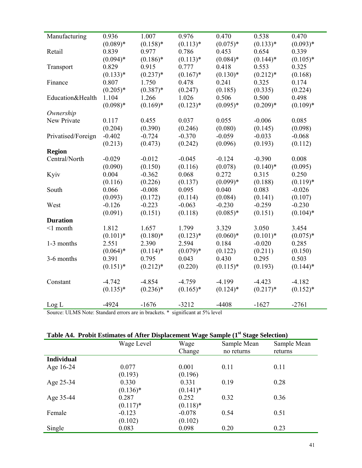| Manufacturing      | 0.936       | 1.007       | 0.976       | 0.470       | 0.538       | 0.470       |
|--------------------|-------------|-------------|-------------|-------------|-------------|-------------|
|                    | $(0.089)*$  | $(0.158)$ * | $(0.113)*$  | $(0.075)*$  | $(0.133)*$  | $(0.093)*$  |
| Retail             | 0.839       | 0.977       | 0.786       | 0.453       | 0.654       | 0.339       |
|                    | $(0.094)*$  | $(0.186)$ * | $(0.113)*$  | $(0.084)$ * | $(0.144)$ * | $(0.105)$ * |
| Transport          | 0.829       | 0.915       | 0.777       | 0.418       | 0.553       | 0.325       |
|                    | $(0.133)*$  | $(0.237)*$  | $(0.167)^*$ | $(0.130)*$  | $(0.212)*$  | (0.168)     |
| Finance            | 0.807       | 1.750       | 0.478       | 0.241       | 0.325       | 0.174       |
|                    | $(0.205)*$  | $(0.387)*$  | (0.247)     | (0.185)     | (0.335)     | (0.224)     |
| Education&Health   | 1.104       | 1.266       | 1.026       | 0.506       | 0.500       | 0.498       |
|                    | $(0.098)*$  | $(0.169)*$  | $(0.123)*$  | $(0.095)*$  | $(0.209)*$  | $(0.109)*$  |
| Ownership          |             |             |             |             |             |             |
| New Private        | 0.117       | 0.455       | 0.037       | 0.055       | $-0.006$    | 0.085       |
|                    | (0.204)     | (0.390)     | (0.246)     | (0.080)     | (0.145)     | (0.098)     |
| Privatised/Foreign | $-0.402$    | $-0.724$    | $-0.370$    | $-0.059$    | $-0.033$    | $-0.068$    |
|                    | (0.213)     | (0.473)     | (0.242)     | (0.096)     | (0.193)     | (0.112)     |
| <b>Region</b>      |             |             |             |             |             |             |
| Central/North      | $-0.029$    | $-0.012$    | $-0.045$    | $-0.124$    | $-0.390$    | 0.008       |
|                    | (0.090)     | (0.150)     | (0.116)     | (0.078)     | $(0.140)*$  | (0.095)     |
| Kyiv               | 0.004       | $-0.362$    | 0.068       | 0.272       | 0.315       | 0.250       |
|                    | (0.116)     | (0.226)     | (0.137)     | $(0.099)*$  | (0.188)     | $(0.119)*$  |
| South              | 0.066       | $-0.008$    | 0.095       | 0.040       | 0.083       | $-0.026$    |
|                    | (0.093)     | (0.172)     | (0.114)     | (0.084)     | (0.141)     | (0.107)     |
| West               | $-0.126$    | $-0.223$    | $-0.063$    | $-0.230$    | $-0.259$    | $-0.230$    |
|                    | (0.091)     | (0.151)     | (0.118)     | $(0.085)*$  | (0.151)     | $(0.104)$ * |
| <b>Duration</b>    |             |             |             |             |             |             |
| $<1$ month         | 1.812       | 1.657       | 1.799       | 3.329       | 3.050       | 3.454       |
|                    | $(0.101)$ * | $(0.180)*$  | $(0.123)*$  | $(0.060)*$  | $(0.101)*$  | $(0.075)*$  |
| 1-3 months         | 2.551       | 2.390       | 2.594       | 0.184       | $-0.020$    | 0.285       |
|                    | $(0.064)*$  | $(0.114)$ * | $(0.079)*$  | (0.122)     | (0.211)     | (0.150)     |
| 3-6 months         | 0.391       | 0.795       | 0.043       | 0.430       | 0.295       | 0.503       |
|                    | $(0.151)$ * | $(0.212)*$  | (0.220)     | $(0.115)^*$ | (0.193)     | $(0.144)$ * |
|                    |             |             |             |             |             |             |
| Constant           | $-4.742$    | $-4.854$    | $-4.759$    | $-4.199$    | $-4.423$    | $-4.182$    |
|                    | $(0.135)*$  | $(0.236)*$  | $(0.165)*$  | $(0.124)$ * | $(0.217)^*$ | $(0.152)*$  |
|                    |             |             |             |             |             |             |
| Log L              | $-4924$     | $-1676$     | $-3212$     | $-4408$     | $-1627$     | $-2761$     |

Source: ULMS Note: Standard errors are in brackets. \* significant at 5% level

| Table A4. Probit Estimates of After Displacement Wage Sample (1 <sup>st</sup> Stage Selection) |  |  |  |
|------------------------------------------------------------------------------------------------|--|--|--|
|                                                                                                |  |  |  |

|                   | Wage Level  | - –<br>Wage | Sample Mean | Sample Mean |
|-------------------|-------------|-------------|-------------|-------------|
|                   |             | Change      | no returns  | returns     |
| <b>Individual</b> |             |             |             |             |
| Age 16-24         | 0.077       | 0.001       | 0.11        | 0.11        |
|                   | (0.193)     | (0.196)     |             |             |
| Age 25-34         | 0.330       | 0.331       | 0.19        | 0.28        |
|                   | $(0.136)^*$ | $(0.141)^*$ |             |             |
| Age 35-44         | 0.287       | 0.252       | 0.32        | 0.36        |
|                   | $(0.117)^*$ | $(0.118)$ * |             |             |
| Female            | $-0.123$    | $-0.078$    | 0.54        | 0.51        |
|                   | (0.102)     | (0.102)     |             |             |
| Single            | 0.083       | 0.098       | 0.20        | 0.23        |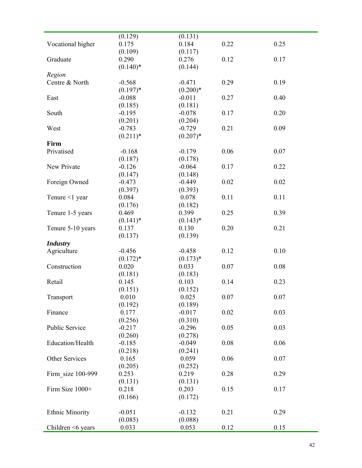|                         | (0.129)     | (0.131)    |      |      |
|-------------------------|-------------|------------|------|------|
| Vocational higher       | 0.175       | 0.184      | 0.22 | 0.25 |
|                         | (0.109)     | (0.117)    |      |      |
| Graduate                | 0.290       | 0.276      | 0.12 | 0.17 |
|                         | $(0.140)*$  | (0.144)    |      |      |
|                         |             |            |      |      |
| Region                  |             |            |      |      |
| Centre & North          | $-0.568$    | $-0.471$   | 0.29 | 0.19 |
|                         | $(0.197)$ * | $(0.200)*$ |      |      |
| East                    | $-0.088$    | $-0.011$   | 0.27 | 0.40 |
|                         | (0.185)     | (0.181)    |      |      |
| South                   | $-0.195$    | $-0.078$   | 0.17 | 0.20 |
|                         | (0.201)     | (0.204)    |      |      |
| West                    | $-0.783$    | $-0.729$   | 0.21 | 0.09 |
|                         | $(0.211)^*$ | $(0.207)*$ |      |      |
| <b>Firm</b>             |             |            |      |      |
| Privatised              | $-0.168$    | $-0.179$   | 0.06 | 0.07 |
|                         |             |            |      |      |
|                         | (0.187)     | (0.178)    |      |      |
| New Private             | $-0.126$    | $-0.064$   | 0.17 | 0.22 |
|                         | (0.147)     | (0.148)    |      |      |
| Foreign Owned           | $-0.473$    | $-0.449$   | 0.02 | 0.02 |
|                         | (0.397)     | (0.393)    |      |      |
| Tenure <1 year          | 0.084       | 0.078      | 0.11 | 0.11 |
|                         | (0.176)     | (0.182)    |      |      |
| Tenure 1-5 years        | 0.469       | 0.399      | 0.25 | 0.39 |
|                         | $(0.141)^*$ | $(0.143)*$ |      |      |
| Tenure 5-10 years       | 0.137       | 0.130      | 0.20 | 0.21 |
|                         |             | (0.139)    |      |      |
|                         | (0.137)     |            |      |      |
| <b>Industry</b>         |             |            |      |      |
| Agriculture             | $-0.456$    | $-0.458$   | 0.12 | 0.10 |
|                         | $(0.172)*$  | $(0.173)*$ |      |      |
| Construction            | 0.020       | 0.033      | 0.07 | 0.08 |
|                         | (0.181)     | (0.183)    |      |      |
| Retail                  | 0.145       | 0.103      | 0.14 | 0.23 |
|                         | (0.151)     | (0.152)    |      |      |
| Transport               | 0.010       | 0.025      | 0.07 | 0.07 |
|                         | (0.192)     | (0.189)    |      |      |
| Finance                 | 0.177       | $-0.017$   | 0.02 | 0.03 |
|                         |             |            |      |      |
|                         | (0.256)     | (0.310)    |      |      |
| Public Service          | $-0.217$    | $-0.296$   | 0.05 | 0.03 |
|                         | (0.260)     | (0.278)    |      |      |
| Education/Health        | $-0.185$    | $-0.049$   | 0.08 | 0.06 |
|                         | (0.218)     | (0.241)    |      |      |
| Other Services          | 0.165       | 0.059      | 0.06 | 0.07 |
|                         | (0.205)     | (0.252)    |      |      |
| Firm size 100-999       | 0.253       | 0.219      | 0.28 | 0.29 |
|                         | (0.131)     | (0.131)    |      |      |
| Firm Size 1000+         | 0.218       | 0.203      | 0.15 | 0.17 |
|                         |             |            |      |      |
|                         | (0.166)     | (0.172)    |      |      |
| <b>Ethnic Minority</b>  | $-0.051$    | $-0.132$   | 0.21 | 0.29 |
|                         | (0.085)     | (0.088)    |      |      |
| Children $\leq 6$ years | 0.033       | 0.053      | 0.12 | 0.15 |
|                         |             |            |      |      |